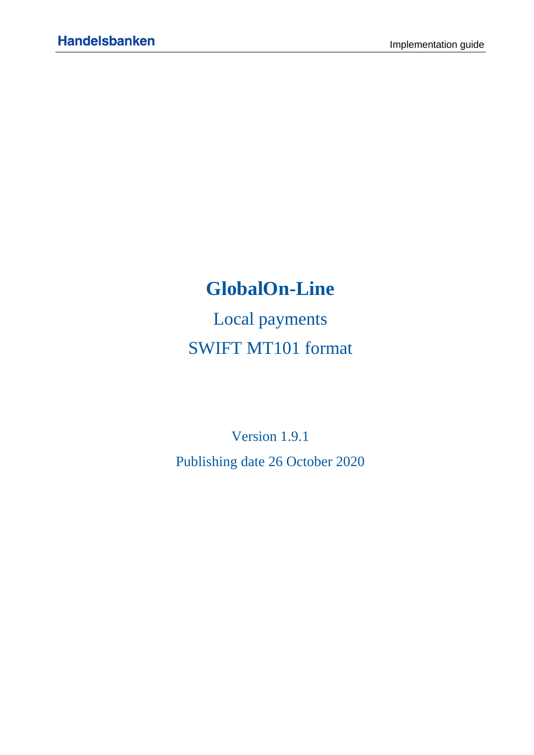# **GlobalOn-Line**

Local payments SWIFT MT101 format

Version 1.9.1 Publishing date 26 October 2020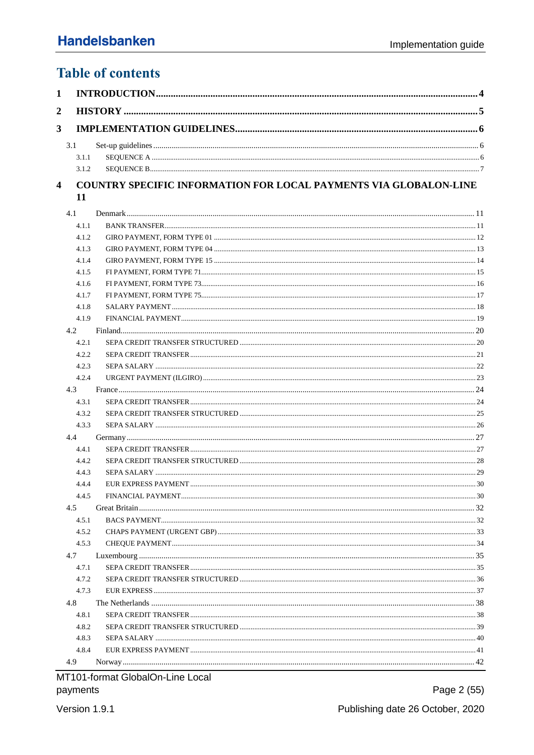# **Table of contents**

#### COUNTRY SPECIFIC INFORMATION FOR LOCAL PAYMENTS VIA GLOBALON-LINE  $\overline{\mathbf{4}}$ 11

| 4.1   |  |
|-------|--|
| 4.1.1 |  |
| 4.1.2 |  |
| 4.1.3 |  |
| 4.1.4 |  |
| 4.1.5 |  |
| 4.1.6 |  |
| 4.1.7 |  |
| 4.1.8 |  |
| 4.1.9 |  |
| 4.2   |  |
| 4.2.1 |  |
| 4.2.2 |  |
| 4.2.3 |  |
| 4.2.4 |  |
| 4.3   |  |
| 4.3.1 |  |
| 4.3.2 |  |
| 4.3.3 |  |
| 4.4   |  |
| 4.4.1 |  |
| 4.4.2 |  |
| 4.4.3 |  |
| 4.4.4 |  |
| 4.4.5 |  |
| 4.5   |  |
| 4.5.1 |  |
| 4.5.2 |  |
| 4.5.3 |  |
| 4.7   |  |
| 4.7.1 |  |
| 4.7.2 |  |
| 4.7.3 |  |
| 4.8   |  |
| 4.8.1 |  |
| 4.8.2 |  |
| 4.8.3 |  |
| 4.8.4 |  |
| 4.9   |  |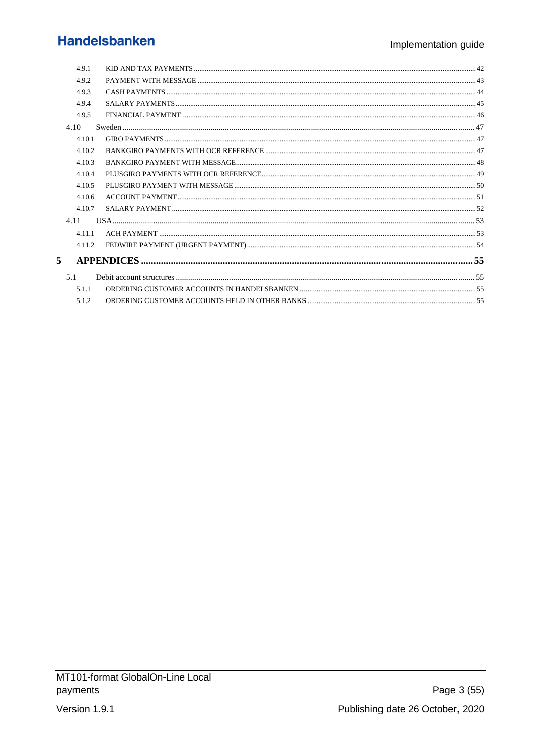|   | 4.9.1  |  |
|---|--------|--|
|   | 492    |  |
|   | 4.9.3  |  |
|   | 4.9.4  |  |
|   | 4.9.5  |  |
|   | 4.10   |  |
|   | 4.10.1 |  |
|   | 4.10.2 |  |
|   | 4.10.3 |  |
|   | 4.10.4 |  |
|   | 4.10.5 |  |
|   | 4.10.6 |  |
|   | 4.10.7 |  |
|   | 4.11   |  |
|   | 4.11.1 |  |
|   | 4.11.2 |  |
| 5 |        |  |
|   | 5.1    |  |
|   | 5.1.1  |  |
|   | 5.1.2  |  |
|   |        |  |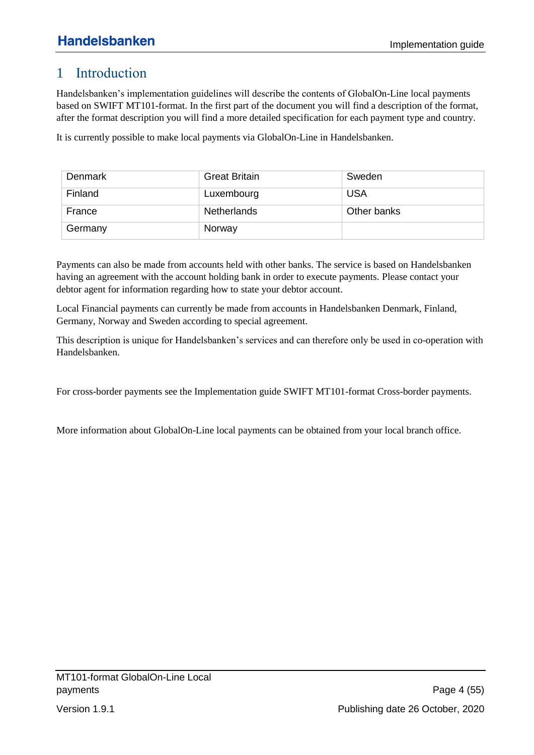# <span id="page-3-0"></span>1 Introduction

Handelsbanken's implementation guidelines will describe the contents of GlobalOn-Line local payments based on SWIFT MT101-format. In the first part of the document you will find a description of the format, after the format description you will find a more detailed specification for each payment type and country.

It is currently possible to make local payments via GlobalOn-Line in Handelsbanken.

| Denmark | <b>Great Britain</b> | Sweden      |
|---------|----------------------|-------------|
| Finland | Luxembourg           | <b>USA</b>  |
| France  | <b>Netherlands</b>   | Other banks |
| Germany | Norway               |             |

Payments can also be made from accounts held with other banks. The service is based on Handelsbanken having an agreement with the account holding bank in order to execute payments. Please contact your debtor agent for information regarding how to state your debtor account.

Local Financial payments can currently be made from accounts in Handelsbanken Denmark, Finland, Germany, Norway and Sweden according to special agreement.

This description is unique for Handelsbanken's services and can therefore only be used in co-operation with Handelsbanken.

For cross-border payments see the Implementation guide SWIFT MT101-format Cross-border payments.

More information about GlobalOn-Line local payments can be obtained from your local branch office.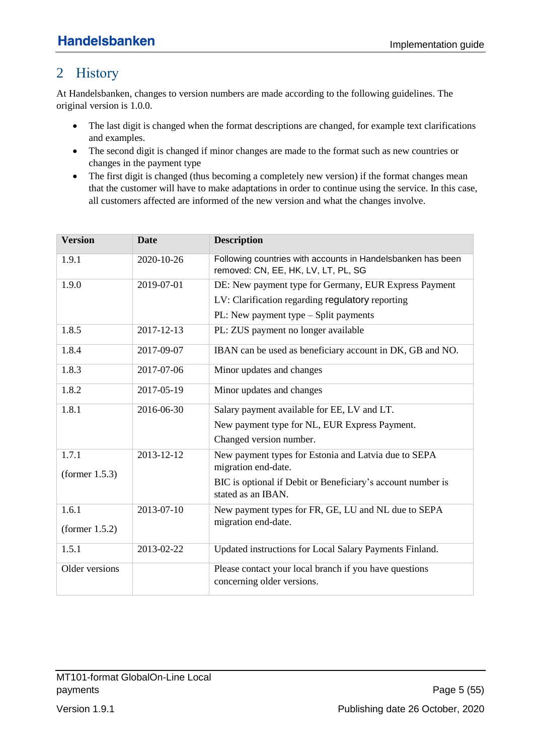# <span id="page-4-0"></span>2 History

At Handelsbanken, changes to version numbers are made according to the following guidelines. The original version is 1.0.0.

- The last digit is changed when the format descriptions are changed, for example text clarifications and examples.
- The second digit is changed if minor changes are made to the format such as new countries or changes in the payment type
- The first digit is changed (thus becoming a completely new version) if the format changes mean that the customer will have to make adaptations in order to continue using the service. In this case, all customers affected are informed of the new version and what the changes involve.

| <b>Version</b>      | <b>Date</b> | <b>Description</b>                                                                                 |
|---------------------|-------------|----------------------------------------------------------------------------------------------------|
| 1.9.1               | 2020-10-26  | Following countries with accounts in Handelsbanken has been<br>removed: CN, EE, HK, LV, LT, PL, SG |
| 1.9.0               | 2019-07-01  | DE: New payment type for Germany, EUR Express Payment                                              |
|                     |             | LV: Clarification regarding regulatory reporting                                                   |
|                     |             | PL: New payment type $-$ Split payments                                                            |
| 1.8.5               | 2017-12-13  | PL: ZUS payment no longer available                                                                |
| 1.8.4               | 2017-09-07  | IBAN can be used as beneficiary account in DK, GB and NO.                                          |
| 1.8.3               | 2017-07-06  | Minor updates and changes                                                                          |
| 1.8.2               | 2017-05-19  | Minor updates and changes                                                                          |
| 1.8.1<br>2016-06-30 |             | Salary payment available for EE, LV and LT.                                                        |
|                     |             | New payment type for NL, EUR Express Payment.                                                      |
|                     |             | Changed version number.                                                                            |
| 1.7.1               | 2013-12-12  | New payment types for Estonia and Latvia due to SEPA                                               |
| (former 1.5.3)      |             | migration end-date.                                                                                |
|                     |             | BIC is optional if Debit or Beneficiary's account number is<br>stated as an IBAN.                  |
| 1.6.1               | 2013-07-10  | New payment types for FR, GE, LU and NL due to SEPA                                                |
| (former $1.5.2$ )   |             | migration end-date.                                                                                |
| 1.5.1               | 2013-02-22  | Updated instructions for Local Salary Payments Finland.                                            |
| Older versions      |             | Please contact your local branch if you have questions                                             |
|                     |             | concerning older versions.                                                                         |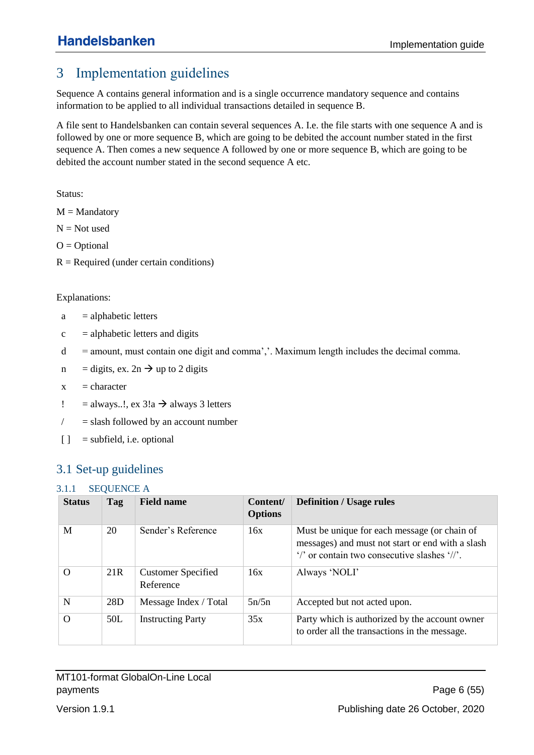# <span id="page-5-0"></span>3 Implementation guidelines

Sequence A contains general information and is a single occurrence mandatory sequence and contains information to be applied to all individual transactions detailed in sequence B.

A file sent to Handelsbanken can contain several sequences A. I.e. the file starts with one sequence A and is followed by one or more sequence B, which are going to be debited the account number stated in the first sequence A. Then comes a new sequence A followed by one or more sequence B, which are going to be debited the account number stated in the second sequence A etc.

Status:

 $M =$ Mandatory

 $N = Not used$ 

 $O = Optional$ 

 $R = Required$  (under certain conditions)

#### Explanations:

- $a = \text{alphabetic letters}$
- $c =$  alphabetic letters and digits
- $d =$  amount, must contain one digit and comma','. Maximum length includes the decimal comma.
- n = digits, ex.  $2n \rightarrow up$  to 2 digits
- $x =$ character
- ! = always...!,  $ex \, 3!a \rightarrow a$ lways 3 letters
- $\ell$  = slash followed by an account number
- $\begin{bmatrix} \ \ \end{bmatrix}$  = subfield, i.e. optional

# <span id="page-5-1"></span>3.1 Set-up guidelines

### <span id="page-5-2"></span>3.1.1 SEQUENCE A

| <b>Status</b> | Tag             | <b>Field name</b>                      | Content/<br><b>Options</b> | <b>Definition / Usage rules</b>                                                                                                                  |
|---------------|-----------------|----------------------------------------|----------------------------|--------------------------------------------------------------------------------------------------------------------------------------------------|
| M             | 20              | Sender's Reference                     | 16x                        | Must be unique for each message (or chain of<br>messages) and must not start or end with a slash<br>"/' or contain two consecutive slashes "//". |
| $\Omega$      | 21 <sub>R</sub> | <b>Customer Specified</b><br>Reference | 16x                        | Always 'NOLI'                                                                                                                                    |
| N             | 28D             | Message Index / Total                  | 5n/5n                      | Accepted but not acted upon.                                                                                                                     |
| $\Omega$      | 50L             | <b>Instructing Party</b>               | 35x                        | Party which is authorized by the account owner<br>to order all the transactions in the message.                                                  |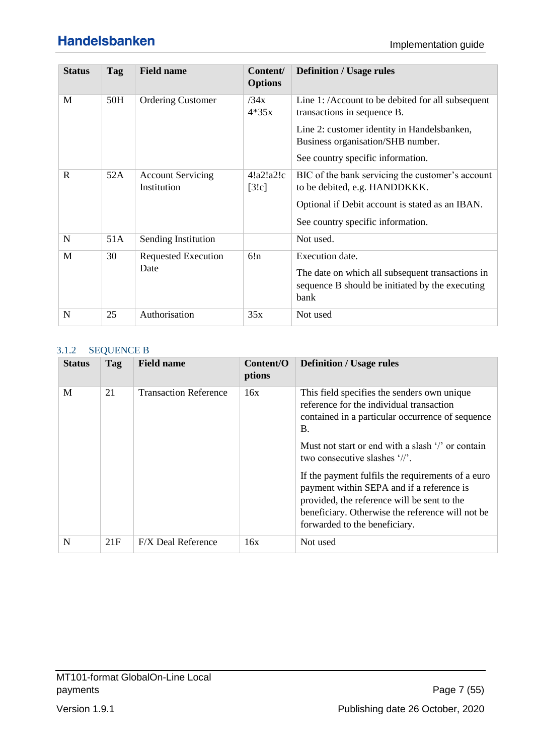| <b>Status</b> | Tag | <b>Field name</b>                       | Content/<br><b>Options</b> | <b>Definition / Usage rules</b>                                                                                                |
|---------------|-----|-----------------------------------------|----------------------------|--------------------------------------------------------------------------------------------------------------------------------|
| M             | 50H | <b>Ordering Customer</b>                | /34x<br>$4*35x$            | Line 1: /Account to be debited for all subsequent<br>transactions in sequence B.                                               |
|               |     |                                         |                            | Line 2: customer identity in Handelsbanken,<br>Business organisation/SHB number.                                               |
|               |     |                                         |                            | See country specific information.                                                                                              |
| $\mathbf{R}$  | 52A | <b>Account Servicing</b><br>Institution | 4!a2!a2!c<br>[3!c]         | BIC of the bank servicing the customer's account<br>to be debited, e.g. HANDDKKK.                                              |
|               |     |                                         |                            | Optional if Debit account is stated as an IBAN.                                                                                |
|               |     |                                         |                            | See country specific information.                                                                                              |
| $\mathbf N$   | 51A | Sending Institution                     |                            | Not used.                                                                                                                      |
| M             | 30  | <b>Requested Execution</b><br>Date      | 6!n                        | Execution date.<br>The date on which all subsequent transactions in<br>sequence B should be initiated by the executing<br>bank |
| N             | 25  | Authorisation                           | 35x                        | Not used                                                                                                                       |

#### <span id="page-6-0"></span>3.1.2 SEQUENCE B

| <b>Status</b> | Tag | <b>Field name</b>            | Content/O<br>ptions | <b>Definition / Usage rules</b>                                                                                                                                                                                                                                                                                                                                                                                                                                                                 |
|---------------|-----|------------------------------|---------------------|-------------------------------------------------------------------------------------------------------------------------------------------------------------------------------------------------------------------------------------------------------------------------------------------------------------------------------------------------------------------------------------------------------------------------------------------------------------------------------------------------|
| M             | 21  | <b>Transaction Reference</b> | 16x                 | This field specifies the senders own unique<br>reference for the individual transaction<br>contained in a particular occurrence of sequence<br><b>B.</b><br>Must not start or end with a slash $\frac{1}{2}$ or contain<br>two consecutive slashes '//'.<br>If the payment fulfils the requirements of a euro<br>payment within SEPA and if a reference is<br>provided, the reference will be sent to the<br>beneficiary. Otherwise the reference will not be.<br>forwarded to the beneficiary. |
| N             | 21F | <b>F/X Deal Reference</b>    | 16x                 | Not used                                                                                                                                                                                                                                                                                                                                                                                                                                                                                        |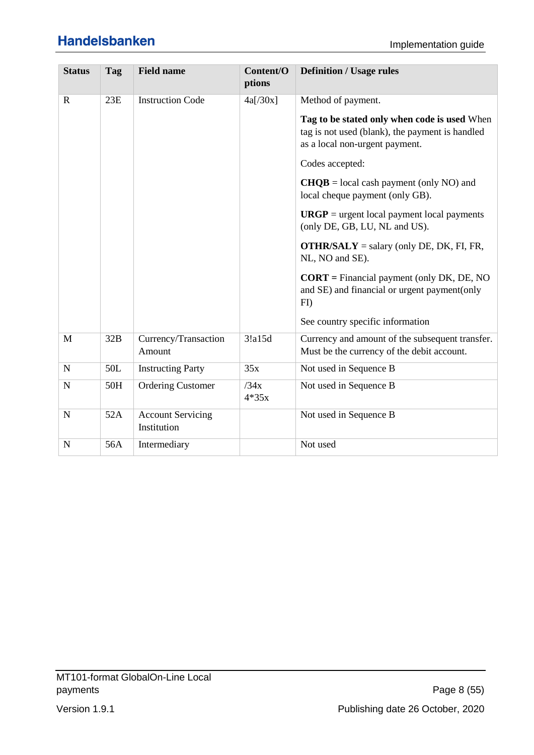| <b>Status</b> | Tag | <b>Field name</b>                       | Content/O<br>ptions | <b>Definition / Usage rules</b>                                                                                                   |
|---------------|-----|-----------------------------------------|---------------------|-----------------------------------------------------------------------------------------------------------------------------------|
| $\mathbf R$   | 23E | <b>Instruction Code</b>                 | 4a[/30x]            | Method of payment.                                                                                                                |
|               |     |                                         |                     | Tag to be stated only when code is used When<br>tag is not used (blank), the payment is handled<br>as a local non-urgent payment. |
|               |     |                                         |                     | Codes accepted:                                                                                                                   |
|               |     |                                         |                     | $CHQB = local cash payment (only NO) and$<br>local cheque payment (only GB).                                                      |
|               |     |                                         |                     | $URGP$ = urgent local payment local payments<br>(only DE, GB, LU, NL and US).                                                     |
|               |     |                                         |                     | <b>OTHR/SALY</b> = salary (only DE, DK, FI, FR,<br>NL, NO and SE).                                                                |
|               |     |                                         |                     | $CORT$ = Financial payment (only DK, DE, NO<br>and SE) and financial or urgent payment(only<br>F <sub>D</sub>                     |
|               |     |                                         |                     | See country specific information                                                                                                  |
| M             | 32B | Currency/Transaction<br>Amount          | 3!a15d              | Currency and amount of the subsequent transfer.<br>Must be the currency of the debit account.                                     |
| $\mathbf N$   | 50L | <b>Instructing Party</b>                | 35x                 | Not used in Sequence B                                                                                                            |
| $\mathbf N$   | 50H | <b>Ordering Customer</b>                | /34x<br>$4*35x$     | Not used in Sequence B                                                                                                            |
| $\mathbf N$   | 52A | <b>Account Servicing</b><br>Institution |                     | Not used in Sequence B                                                                                                            |
| N             | 56A | Intermediary                            |                     | Not used                                                                                                                          |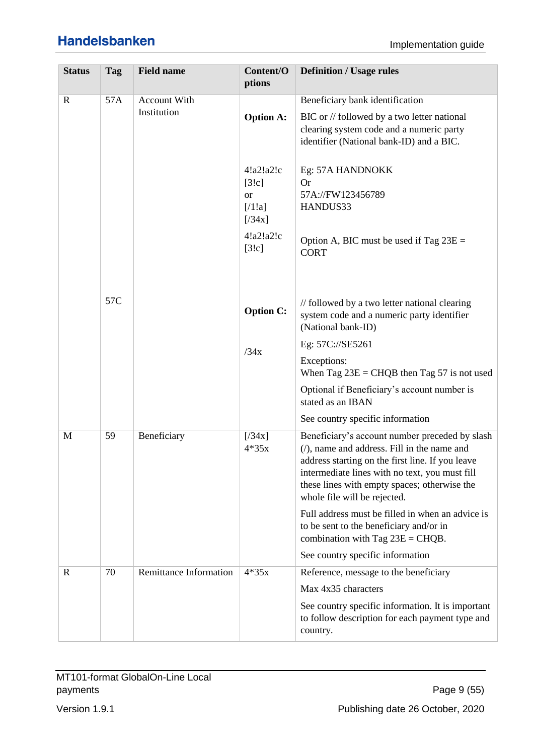| <b>Status</b> | Tag               | <b>Field name</b>             | Content/O<br>ptions                                | <b>Definition / Usage rules</b>                                                                                                                                                                                                                                                      |
|---------------|-------------------|-------------------------------|----------------------------------------------------|--------------------------------------------------------------------------------------------------------------------------------------------------------------------------------------------------------------------------------------------------------------------------------------|
| $\mathbf R$   | 57A               | Account With<br>Institution   | <b>Option A:</b>                                   | Beneficiary bank identification<br>BIC or // followed by a two letter national<br>clearing system code and a numeric party<br>identifier (National bank-ID) and a BIC.                                                                                                               |
|               |                   |                               | 4!a2!a2!c<br>[3!c]<br><b>or</b><br>[71!]<br>[734x] | Eg: 57A HANDNOKK<br><b>Or</b><br>57A://FW123456789<br>HANDUS33                                                                                                                                                                                                                       |
|               |                   |                               | 4!a2!a2!c<br>[3!c]                                 | Option A, BIC must be used if Tag $23E =$<br><b>CORT</b>                                                                                                                                                                                                                             |
|               | 57C               |                               | <b>Option C:</b>                                   | // followed by a two letter national clearing<br>system code and a numeric party identifier<br>(National bank-ID)                                                                                                                                                                    |
|               |                   |                               | /34x                                               | Eg: 57C://SE5261<br>Exceptions:<br>When Tag $23E = CHQB$ then Tag 57 is not used                                                                                                                                                                                                     |
|               |                   |                               |                                                    | Optional if Beneficiary's account number is<br>stated as an IBAN<br>See country specific information                                                                                                                                                                                 |
| M             | 59<br>Beneficiary |                               | [734x]<br>$4*35x$                                  | Beneficiary's account number preceded by slash<br>$($ , name and address. Fill in the name and<br>address starting on the first line. If you leave<br>intermediate lines with no text, you must fill<br>these lines with empty spaces; otherwise the<br>whole file will be rejected. |
|               |                   |                               |                                                    | Full address must be filled in when an advice is<br>to be sent to the beneficiary and/or in<br>combination with Tag $23E = CHQB$ .<br>See country specific information                                                                                                               |
| $\mathbf R$   | 70                | <b>Remittance Information</b> | $4*35x$                                            | Reference, message to the beneficiary<br>Max 4x35 characters<br>See country specific information. It is important<br>to follow description for each payment type and<br>country.                                                                                                     |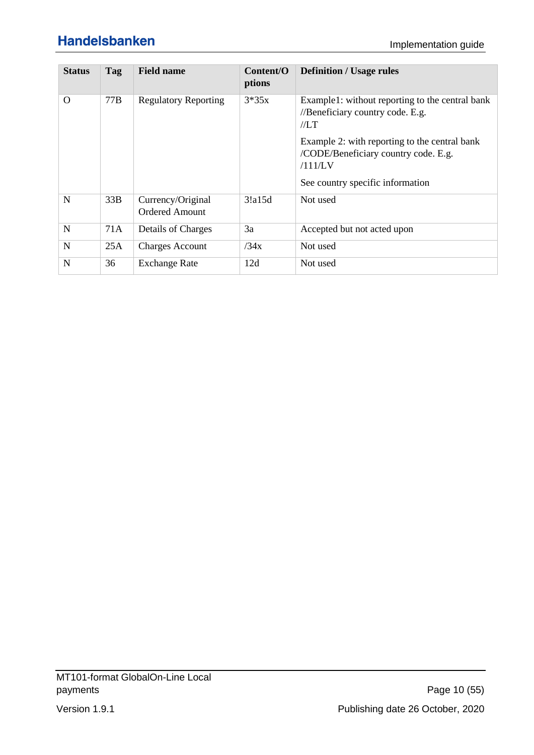| <b>Status</b> | Tag | <b>Field name</b>                          | Content/O<br>ptions | <b>Definition / Usage rules</b>                                                                  |
|---------------|-----|--------------------------------------------|---------------------|--------------------------------------------------------------------------------------------------|
| $\Omega$      | 77B | <b>Regulatory Reporting</b>                | $3*35x$             | Example1: without reporting to the central bank<br>//Beneficiary country code. E.g.<br>//LT      |
|               |     |                                            |                     | Example 2: with reporting to the central bank<br>/CODE/Beneficiary country code. E.g.<br>/111/LV |
|               |     |                                            |                     | See country specific information                                                                 |
| N             | 33B | Currency/Original<br><b>Ordered Amount</b> | 3!a15d              | Not used                                                                                         |
| $\mathbf N$   | 71A | Details of Charges                         | 3a                  | Accepted but not acted upon                                                                      |
| N             | 25A | <b>Charges Account</b>                     | /34x                | Not used                                                                                         |
| N             | 36  | <b>Exchange Rate</b>                       | 12d                 | Not used                                                                                         |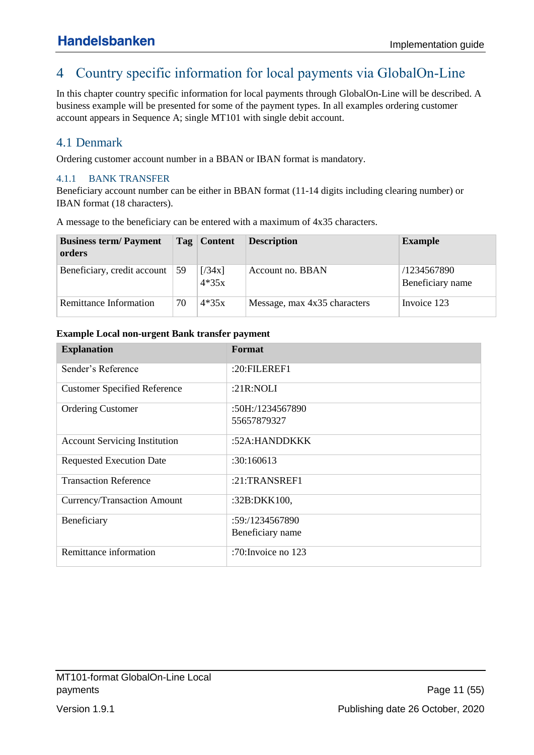# <span id="page-10-0"></span>4 Country specific information for local payments via GlobalOn-Line

In this chapter country specific information for local payments through GlobalOn-Line will be described. A business example will be presented for some of the payment types. In all examples ordering customer account appears in Sequence A; single MT101 with single debit account.

## <span id="page-10-1"></span>4.1 Denmark

Ordering customer account number in a BBAN or IBAN format is mandatory.

### <span id="page-10-2"></span>4.1.1 BANK TRANSFER

Beneficiary account number can be either in BBAN format (11-14 digits including clearing number) or IBAN format (18 characters).

A message to the beneficiary can be entered with a maximum of 4x35 characters.

| <b>Business term/Payment</b><br>orders |    | Tag Content       | <b>Description</b>           | <b>Example</b>                  |
|----------------------------------------|----|-------------------|------------------------------|---------------------------------|
| Beneficiary, credit account            | 59 | [734x]<br>$4*35x$ | Account no. BBAN             | /1234567890<br>Beneficiary name |
| Remittance Information                 | 70 | $4*35x$           | Message, max 4x35 characters | Invoice 123                     |

#### **Example Local non-urgent Bank transfer payment**

| <b>Explanation</b>                   | Format              |
|--------------------------------------|---------------------|
| Sender's Reference                   | $:20:$ FILEREF1     |
| <b>Customer Specified Reference</b>  | : $21R:NOLI$        |
| <b>Ordering Customer</b>             | :50H:/1234567890    |
|                                      | 55657879327         |
| <b>Account Servicing Institution</b> | :52A:HANDDKKK       |
| <b>Requested Execution Date</b>      | :30:160613          |
| <b>Transaction Reference</b>         | $:21$ :TRANSREF1    |
| Currency/Transaction Amount          | :32B:DKK100,        |
| Beneficiary                          | :59:/1234567890     |
|                                      | Beneficiary name    |
| Remittance information               | :70: Invoice no 123 |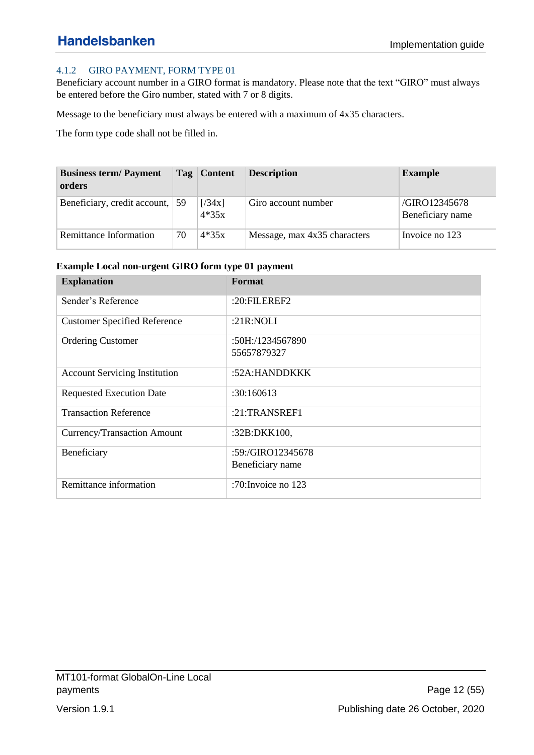### <span id="page-11-0"></span>4.1.2 GIRO PAYMENT, FORM TYPE 01

Beneficiary account number in a GIRO format is mandatory. Please note that the text "GIRO" must always be entered before the Giro number, stated with 7 or 8 digits.

Message to the beneficiary must always be entered with a maximum of 4x35 characters.

The form type code shall not be filled in.

| <b>Business term/Payment</b><br>orders |    | Tag   Content     | <b>Description</b>           | <b>Example</b>                    |
|----------------------------------------|----|-------------------|------------------------------|-----------------------------------|
| Beneficiary, credit account, 59        |    | [734x]<br>$4*35x$ | Giro account number          | /GIRO12345678<br>Beneficiary name |
| Remittance Information                 | 70 | $4*35x$           | Message, max 4x35 characters | Invoice no 123                    |

#### **Example Local non-urgent GIRO form type 01 payment**

| <b>Explanation</b>                   | Format                |
|--------------------------------------|-----------------------|
| Sender's Reference                   | :20:FILEREF2          |
| <b>Customer Specified Reference</b>  | :21R:NOLI             |
| <b>Ordering Customer</b>             | :50H:/1234567890      |
|                                      | 55657879327           |
| <b>Account Servicing Institution</b> | :52A:HANDDKKK         |
| <b>Requested Execution Date</b>      | :30:160613            |
| <b>Transaction Reference</b>         | $:21$ :TRANSREF1      |
| Currency/Transaction Amount          | :32B:DKK100,          |
| Beneficiary                          | :59:/GIRO12345678     |
|                                      | Beneficiary name      |
| Remittance information               | :70: Invoice no $123$ |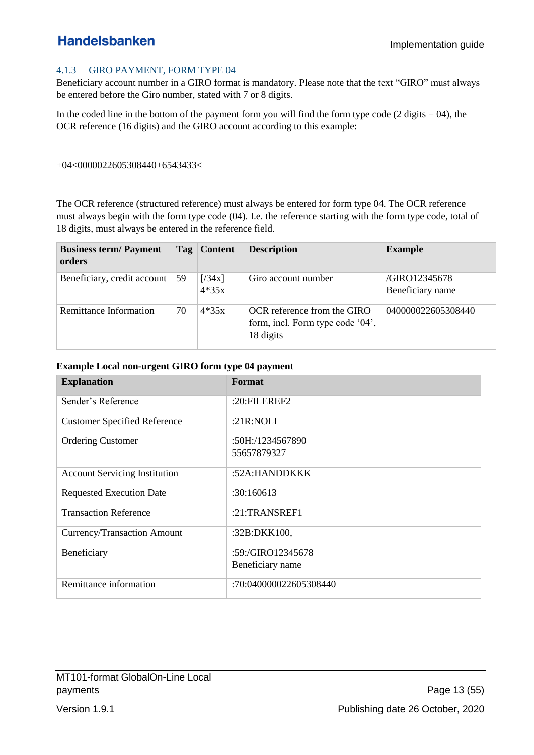### <span id="page-12-0"></span>4.1.3 GIRO PAYMENT, FORM TYPE 04

Beneficiary account number in a GIRO format is mandatory. Please note that the text "GIRO" must always be entered before the Giro number, stated with 7 or 8 digits.

In the coded line in the bottom of the payment form you will find the form type code  $(2 \text{ digits} = 04)$ , the OCR reference (16 digits) and the GIRO account according to this example:

+04<0000022605308440+6543433<

The OCR reference (structured reference) must always be entered for form type 04. The OCR reference must always begin with the form type code (04). I.e. the reference starting with the form type code, total of 18 digits, must always be entered in the reference field.

| <b>Business term/Payment</b><br>orders |    | Tag   Content     | <b>Description</b>                                                           | <b>Example</b>                    |
|----------------------------------------|----|-------------------|------------------------------------------------------------------------------|-----------------------------------|
| Beneficiary, credit account            | 59 | [734x]<br>$4*35x$ | Giro account number                                                          | /GIRO12345678<br>Beneficiary name |
| Remittance Information                 | 70 | $4*35x$           | OCR reference from the GIRO<br>form, incl. Form type code '04',<br>18 digits | 040000022605308440                |

#### **Example Local non-urgent GIRO form type 04 payment**

| <b>Explanation</b>                   | Format                 |
|--------------------------------------|------------------------|
| Sender's Reference                   | $:20:$ FILEREF2        |
| <b>Customer Specified Reference</b>  | : $21R:NOLI$           |
| <b>Ordering Customer</b>             | $:50H$ :/1234567890    |
|                                      | 55657879327            |
| <b>Account Servicing Institution</b> | :52A:HANDDKKK          |
| <b>Requested Execution Date</b>      | :30:160613             |
| <b>Transaction Reference</b>         | $:21$ :TRANSREF1       |
| Currency/Transaction Amount          | :32B:DKK100,           |
| Beneficiary                          | :59:/GIRO12345678      |
|                                      | Beneficiary name       |
| Remittance information               | :70:040000022605308440 |

MT101-format GlobalOn-Line Local payments Page 13 (55)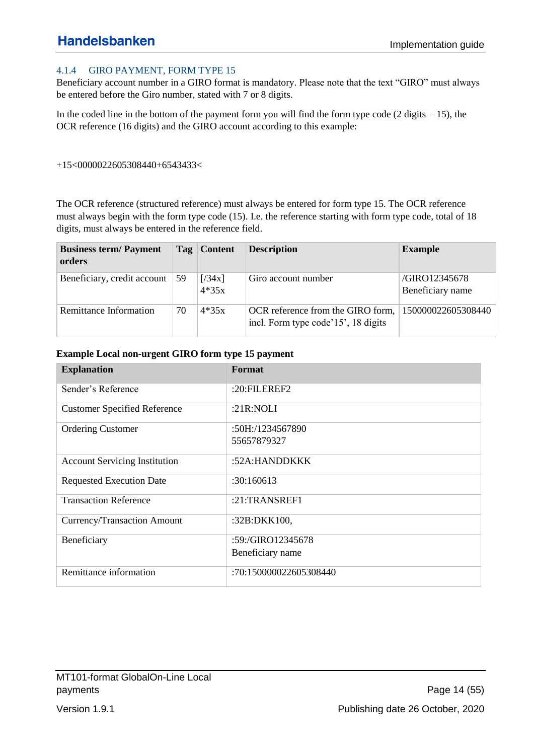### <span id="page-13-0"></span>4.1.4 GIRO PAYMENT, FORM TYPE 15

Beneficiary account number in a GIRO format is mandatory. Please note that the text "GIRO" must always be entered before the Giro number, stated with 7 or 8 digits.

In the coded line in the bottom of the payment form you will find the form type code  $(2 \text{ digits} = 15)$ , the OCR reference (16 digits) and the GIRO account according to this example:

#### +15<0000022605308440+6543433<

The OCR reference (structured reference) must always be entered for form type 15. The OCR reference must always begin with the form type code (15). I.e. the reference starting with form type code, total of 18 digits, must always be entered in the reference field.

| <b>Business term/Payment</b><br>orders |    | Tag   Content     | <b>Description</b>                                                       | <b>Example</b>                    |
|----------------------------------------|----|-------------------|--------------------------------------------------------------------------|-----------------------------------|
| Beneficiary, credit account            | 59 | [734x]<br>$4*35x$ | Giro account number                                                      | /GIRO12345678<br>Beneficiary name |
| Remittance Information                 | 70 | $4*35x$           | OCR reference from the GIRO form,<br>incl. Form type code'15', 18 digits | 150000022605308440                |

| <b>Explanation</b>                   | Format                 |
|--------------------------------------|------------------------|
| Sender's Reference                   | $:20:$ FILEREF2        |
| <b>Customer Specified Reference</b>  | :21 $R:NOLI$           |
| <b>Ordering Customer</b>             | :50H:/1234567890       |
|                                      | 55657879327            |
| <b>Account Servicing Institution</b> | :52A:HANDDKKK          |
| <b>Requested Execution Date</b>      | :30:160613             |
| <b>Transaction Reference</b>         | :21:TRANSREF1          |
| Currency/Transaction Amount          | :32B:DKK100,           |
| Beneficiary                          | :59:/GIRO12345678      |
|                                      | Beneficiary name       |
| Remittance information               | :70:150000022605308440 |

#### **Example Local non-urgent GIRO form type 15 payment**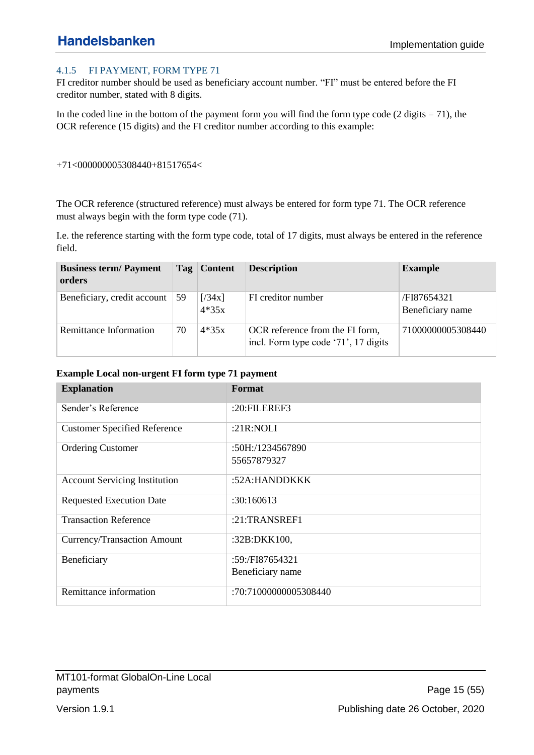### <span id="page-14-0"></span>4.1.5 FI PAYMENT, FORM TYPE 71

FI creditor number should be used as beneficiary account number. "FI" must be entered before the FI creditor number, stated with 8 digits.

In the coded line in the bottom of the payment form you will find the form type code  $(2 \text{ digits} = 71)$ , the OCR reference (15 digits) and the FI creditor number according to this example:

#### +71<000000005308440+81517654<

The OCR reference (structured reference) must always be entered for form type 71. The OCR reference must always begin with the form type code (71).

I.e. the reference starting with the form type code, total of 17 digits, must always be entered in the reference field.

| <b>Business term/Payment</b><br>orders |    | Tag   Content     | <b>Description</b>                                                      | <b>Example</b>                        |
|----------------------------------------|----|-------------------|-------------------------------------------------------------------------|---------------------------------------|
| Beneficiary, credit account            | 59 | [734x]<br>$4*35x$ | FI creditor number                                                      | <b>FI87654321</b><br>Beneficiary name |
| Remittance Information                 | 70 | $4*35x$           | OCR reference from the FI form,<br>incl. Form type code '71', 17 digits | 71000000005308440                     |

| <b>Explanation</b>                   | Format                |
|--------------------------------------|-----------------------|
| Sender's Reference                   | $:20:$ FILEREF3       |
| <b>Customer Specified Reference</b>  | : $21R:NOLI$          |
| <b>Ordering Customer</b>             | :50H:/1234567890      |
|                                      | 55657879327           |
| <b>Account Servicing Institution</b> | :52A:HANDDKKK         |
| <b>Requested Execution Date</b>      | :30:160613            |
| <b>Transaction Reference</b>         | $:21$ :TRANSREF1      |
| Currency/Transaction Amount          | :32B:DKK100,          |
| Beneficiary                          | :59:/FI87654321       |
|                                      | Beneficiary name      |
| Remittance information               | :70:71000000005308440 |

#### **Example Local non-urgent FI form type 71 payment**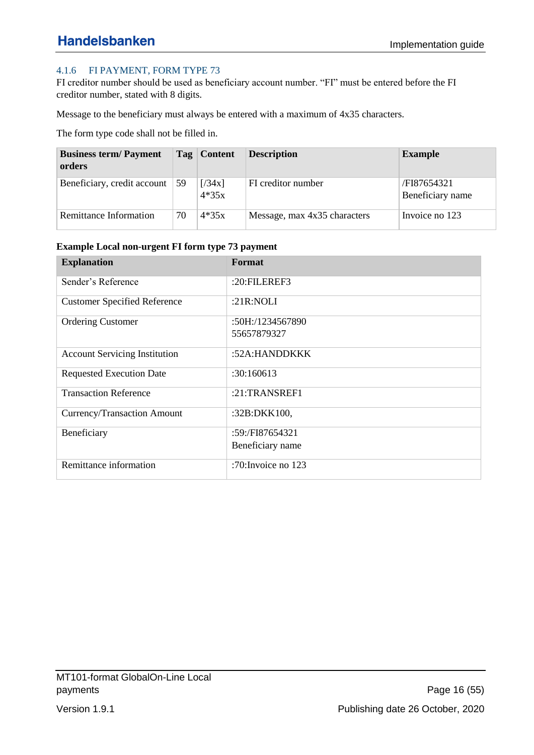### <span id="page-15-0"></span>4.1.6 FI PAYMENT, FORM TYPE 73

FI creditor number should be used as beneficiary account number. "FI" must be entered before the FI creditor number, stated with 8 digits.

Message to the beneficiary must always be entered with a maximum of 4x35 characters.

The form type code shall not be filled in.

| <b>Business term/Payment</b><br>orders |    | Tag   Content     | <b>Description</b>           | <b>Example</b>                  |
|----------------------------------------|----|-------------------|------------------------------|---------------------------------|
| Beneficiary, credit account            | 59 | [734x]<br>$4*35x$ | FI creditor number           | /FI87654321<br>Beneficiary name |
| Remittance Information                 | 70 | $4*35x$           | Message, max 4x35 characters | Invoice no 123                  |

#### **Example Local non-urgent FI form type 73 payment**

| <b>Explanation</b>                   | Format              |
|--------------------------------------|---------------------|
| Sender's Reference                   | :20:FILEREF3        |
| <b>Customer Specified Reference</b>  | : $21R:NOLI$        |
| <b>Ordering Customer</b>             | :50H:/1234567890    |
|                                      | 55657879327         |
| <b>Account Servicing Institution</b> | :52A:HANDDKKK       |
| <b>Requested Execution Date</b>      | :30:160613          |
| <b>Transaction Reference</b>         | $:21$ :TRANSREF1    |
| <b>Currency/Transaction Amount</b>   | :32B:DKK100,        |
| Beneficiary                          | $:59$ :/FI87654321  |
|                                      | Beneficiary name    |
| Remittance information               | :70: Invoice no 123 |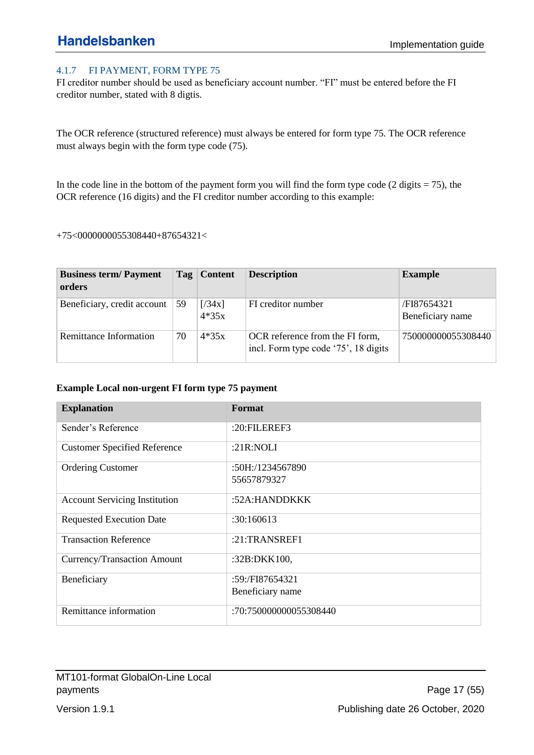### <span id="page-16-0"></span>4.1.7 FI PAYMENT, FORM TYPE 75

FI creditor number should be used as beneficiary account number. "FI" must be entered before the FI creditor number, stated with 8 digtis.

The OCR reference (structured reference) must always be entered for form type 75. The OCR reference must always begin with the form type code (75).

In the code line in the bottom of the payment form you will find the form type code  $(2 \text{ digits} = 75)$ , the OCR reference (16 digits) and the FI creditor number according to this example:

#### +75<0000000055308440+87654321<

| <b>Business term/Payment</b><br>orders |    | Tag   Content     | <b>Description</b>                                                      | <b>Example</b>                  |
|----------------------------------------|----|-------------------|-------------------------------------------------------------------------|---------------------------------|
| Beneficiary, credit account            | 59 | [734x]<br>$4*35x$ | FI creditor number                                                      | /FI87654321<br>Beneficiary name |
| Remittance Information                 | 70 | $4*35x$           | OCR reference from the FI form,<br>incl. Form type code '75', 18 digits | 750000000055308440              |

#### **Example Local non-urgent FI form type 75 payment**

| <b>Explanation</b>                   | Format                 |
|--------------------------------------|------------------------|
| Sender's Reference                   | $:20:$ FILEREF3        |
| <b>Customer Specified Reference</b>  | : $21R:NOLI$           |
| <b>Ordering Customer</b>             | $:50H$ :/1234567890    |
|                                      | 55657879327            |
| <b>Account Servicing Institution</b> | :52A:HANDDKKK          |
| <b>Requested Execution Date</b>      | :30:160613             |
| <b>Transaction Reference</b>         | $:21$ :TRANSREF1       |
| Currency/Transaction Amount          | :32B:DKK100,           |
| Beneficiary                          | $:59$ :/FI87654321     |
|                                      | Beneficiary name       |
| Remittance information               | :70:750000000055308440 |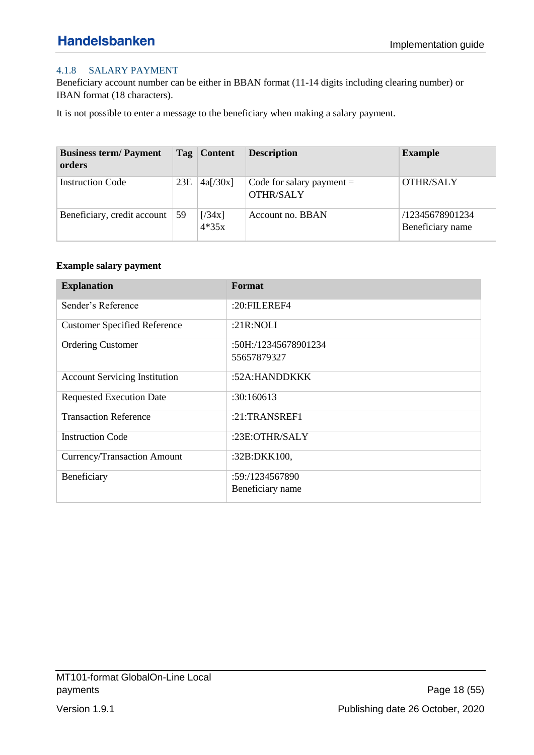### <span id="page-17-0"></span>4.1.8 SALARY PAYMENT

Beneficiary account number can be either in BBAN format (11-14 digits including clearing number) or IBAN format (18 characters).

It is not possible to enter a message to the beneficiary when making a salary payment.

| <b>Business term/Payment</b><br>orders |     | Tag   Content     | <b>Description</b>                              | <b>Example</b>                      |
|----------------------------------------|-----|-------------------|-------------------------------------------------|-------------------------------------|
| <b>Instruction Code</b>                | 23E | 4a[/30x]          | Code for salary payment $=$<br><b>OTHR/SALY</b> | <b>OTHR/SALY</b>                    |
| Beneficiary, credit account            | 59  | [734x]<br>$4*35x$ | Account no. BBAN                                | /12345678901234<br>Beneficiary name |

#### **Example salary payment**

| <b>Explanation</b>                   | Format               |
|--------------------------------------|----------------------|
| Sender's Reference                   | :20:FILEREF4         |
| <b>Customer Specified Reference</b>  | : $21R:NOLI$         |
| <b>Ordering Customer</b>             | :50H:/12345678901234 |
|                                      | 55657879327          |
| <b>Account Servicing Institution</b> | :52A:HANDDKKK        |
| <b>Requested Execution Date</b>      | :30:160613           |
| <b>Transaction Reference</b>         | :21:TRANSREF1        |
| <b>Instruction Code</b>              | :23E:OTHR/SALY       |
| Currency/Transaction Amount          | :32B:DKK100,         |
| Beneficiary                          | :59: /1234567890     |
|                                      | Beneficiary name     |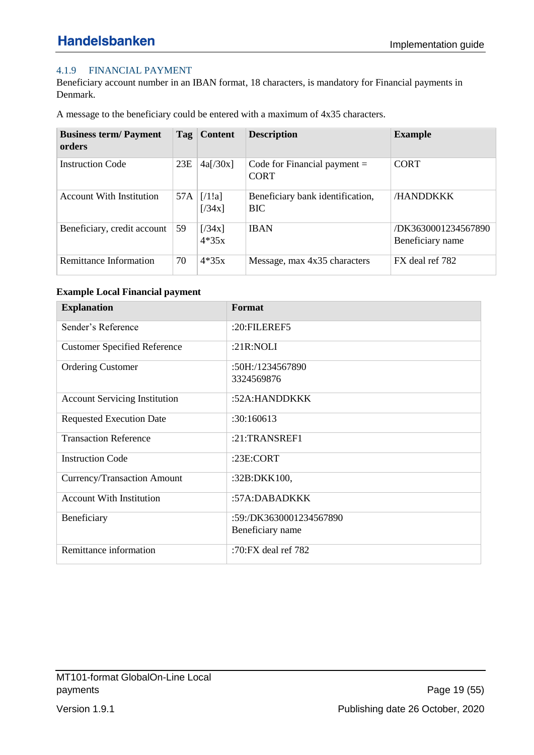### <span id="page-18-0"></span>4.1.9 FINANCIAL PAYMENT

Beneficiary account number in an IBAN format, 18 characters, is mandatory for Financial payments in Denmark.

A message to the beneficiary could be entered with a maximum of 4x35 characters.

| <b>Business term/Payment</b><br>orders | Tag | <b>Content</b>    | <b>Description</b>                             | <b>Example</b>                          |
|----------------------------------------|-----|-------------------|------------------------------------------------|-----------------------------------------|
| <b>Instruction Code</b>                | 23E | 4a[/30x]          | Code for Financial payment $=$<br><b>CORT</b>  | <b>CORT</b>                             |
| <b>Account With Institution</b>        | 57A | [71!]<br>[734x]   | Beneficiary bank identification,<br><b>BIC</b> | /HANDDKKK                               |
| Beneficiary, credit account            | 59  | [734x]<br>$4*35x$ | <b>IBAN</b>                                    | /DK3630001234567890<br>Beneficiary name |
| Remittance Information                 | 70  | $4*35x$           | Message, max 4x35 characters                   | FX deal ref 782                         |

### **Example Local Financial payment**

| <b>Explanation</b>                   | Format                  |
|--------------------------------------|-------------------------|
| Sender's Reference                   | $:20:$ FILEREF5         |
| <b>Customer Specified Reference</b>  | : $21R:NOLI$            |
| <b>Ordering Customer</b>             | :50H:/1234567890        |
|                                      | 3324569876              |
| <b>Account Servicing Institution</b> | :52A:HANDDKKK           |
| <b>Requested Execution Date</b>      | :30:160613              |
| <b>Transaction Reference</b>         | $:21$ :TRANSREF1        |
| <b>Instruction Code</b>              | :23E:CORT               |
| Currency/Transaction Amount          | :32B:DKK100,            |
| <b>Account With Institution</b>      | :57A:DABADKKK           |
| Beneficiary                          | :59:/DK3630001234567890 |
|                                      | Beneficiary name        |
| Remittance information               | :70:FX deal ref $782$   |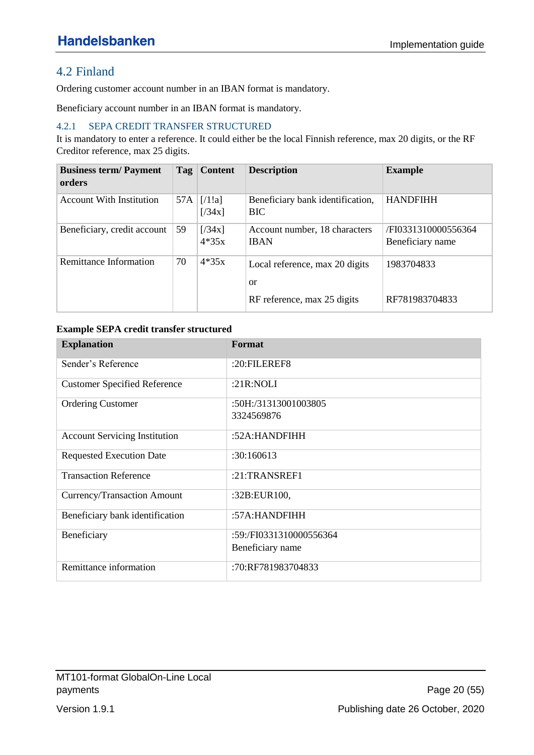# <span id="page-19-0"></span>4.2 Finland

Ordering customer account number in an IBAN format is mandatory.

Beneficiary account number in an IBAN format is mandatory.

#### <span id="page-19-1"></span>4.2.1 SEPA CREDIT TRANSFER STRUCTURED

It is mandatory to enter a reference. It could either be the local Finnish reference, max 20 digits, or the RF Creditor reference, max 25 digits.

| <b>Business term/Payment</b><br>orders | $\left  \right $ Tag | <b>Content</b>    | <b>Description</b>                              | <b>Example</b>                          |
|----------------------------------------|----------------------|-------------------|-------------------------------------------------|-----------------------------------------|
| <b>Account With Institution</b>        | 57A                  | [71!]<br>[734x]   | Beneficiary bank identification,<br><b>BIC</b>  | <b>HANDFIHH</b>                         |
| Beneficiary, credit account            | 59                   | [734x]<br>$4*35x$ | Account number, 18 characters<br><b>IBAN</b>    | /FI0331310000556364<br>Beneficiary name |
| Remittance Information                 | 70                   | $4*35x$           | Local reference, max 20 digits<br><sub>or</sub> | 1983704833                              |
|                                        |                      |                   | RF reference, max 25 digits                     | RF781983704833                          |

#### **Example SEPA credit transfer structured**

| <b>Explanation</b>                   | Format                  |
|--------------------------------------|-------------------------|
| Sender's Reference                   | :20:FILEREF8            |
| <b>Customer Specified Reference</b>  | : $21R:NOLI$            |
| <b>Ordering Customer</b>             | :50H:/31313001003805    |
|                                      | 3324569876              |
| <b>Account Servicing Institution</b> | :52A:HANDFIHH           |
| <b>Requested Execution Date</b>      | :30:160613              |
| <b>Transaction Reference</b>         | $:21$ :TRANSREF1        |
| Currency/Transaction Amount          | :32B:EUR100,            |
| Beneficiary bank identification      | :57A:HANDFHH            |
| Beneficiary                          | :59:/FI0331310000556364 |
|                                      | Beneficiary name        |
| Remittance information               | :70:RF781983704833      |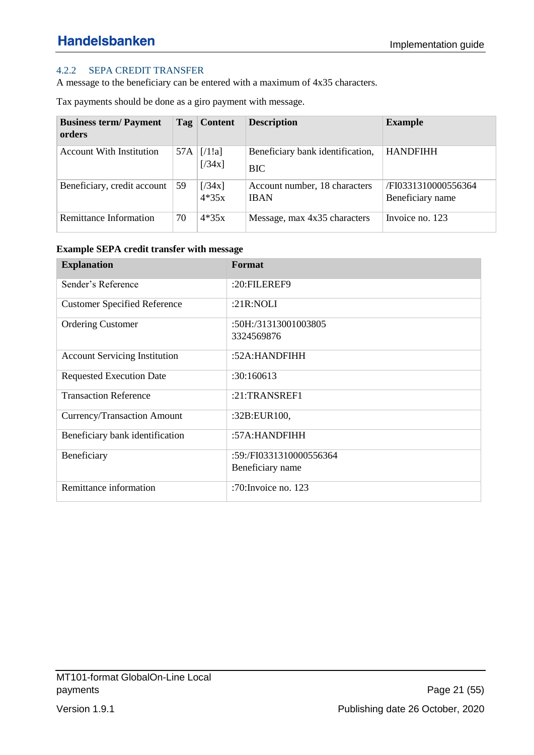### <span id="page-20-0"></span>4.2.2 SEPA CREDIT TRANSFER

A message to the beneficiary can be entered with a maximum of 4x35 characters.

Tax payments should be done as a giro payment with message.

| <b>Business term/Payment</b><br>orders | Tag | <b>Content</b>    | <b>Description</b>                             | <b>Example</b>                          |
|----------------------------------------|-----|-------------------|------------------------------------------------|-----------------------------------------|
| <b>Account With Institution</b>        | 57A | [71!]<br>[734x]   | Beneficiary bank identification,<br><b>BIC</b> | <b>HANDFIHH</b>                         |
| Beneficiary, credit account            | 59  | [734x]<br>$4*35x$ | Account number, 18 characters<br><b>IBAN</b>   | /FI0331310000556364<br>Beneficiary name |
| Remittance Information                 | 70  | $4*35x$           | Message, max 4x35 characters                   | Invoice no. 123                         |

**Example SEPA credit transfer with message**

| <b>Explanation</b>                   | Format                  |
|--------------------------------------|-------------------------|
| Sender's Reference                   | :20:FILEREF9            |
| <b>Customer Specified Reference</b>  | : $21R:NOLI$            |
| <b>Ordering Customer</b>             | :50H:/31313001003805    |
|                                      | 3324569876              |
| <b>Account Servicing Institution</b> | :52A: HANDFIHH          |
| <b>Requested Execution Date</b>      | :30:160613              |
| <b>Transaction Reference</b>         | $:21$ :TRANSREF1        |
| Currency/Transaction Amount          | :32B:EUR100,            |
| Beneficiary bank identification      | :57A:HANDFIHH           |
| Beneficiary                          | :59:/FI0331310000556364 |
|                                      | Beneficiary name        |
| Remittance information               | :70: Invoice no. $123$  |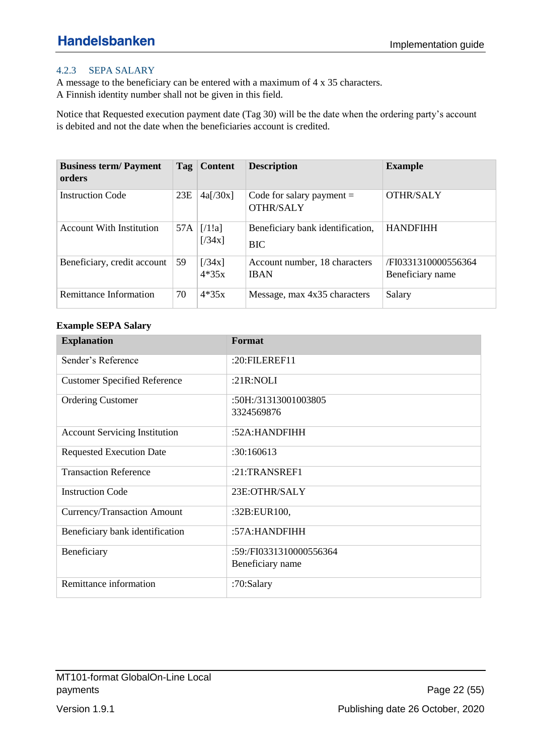#### <span id="page-21-0"></span>4.2.3 SEPA SALARY

A message to the beneficiary can be entered with a maximum of 4 x 35 characters. A Finnish identity number shall not be given in this field.

Notice that Requested execution payment date (Tag 30) will be the date when the ordering party's account is debited and not the date when the beneficiaries account is credited.

| <b>Business term/Payment</b><br>orders | Tag | <b>Content</b>    | <b>Description</b>                              | <b>Example</b>                          |
|----------------------------------------|-----|-------------------|-------------------------------------------------|-----------------------------------------|
| <b>Instruction Code</b>                | 23E | 4a[/30x]          | Code for salary payment $=$<br><b>OTHR/SALY</b> | <b>OTHR/SALY</b>                        |
| <b>Account With Institution</b>        | 57A | [71!]<br>[734x]   | Beneficiary bank identification,<br><b>BIC</b>  | <b>HANDFIHH</b>                         |
| Beneficiary, credit account            | 59  | [734x]<br>$4*35x$ | Account number, 18 characters<br><b>IBAN</b>    | /FI0331310000556364<br>Beneficiary name |
| Remittance Information                 | 70  | $4*35x$           | Message, max 4x35 characters                    | Salary                                  |

#### **Example SEPA Salary**

| <b>Explanation</b>                   | Format                  |
|--------------------------------------|-------------------------|
| Sender's Reference                   | $:20:$ FILEREF11        |
| <b>Customer Specified Reference</b>  | : $21R:NOLI$            |
| <b>Ordering Customer</b>             | :50H:/31313001003805    |
|                                      | 3324569876              |
| <b>Account Servicing Institution</b> | :52A: HANDFIHH          |
| <b>Requested Execution Date</b>      | :30:160613              |
| <b>Transaction Reference</b>         | $:21$ :TRANSREF1        |
| <b>Instruction Code</b>              | 23E:OTHR/SALY           |
| Currency/Transaction Amount          | :32B:EUR100,            |
| Beneficiary bank identification      | :57A:HANDFIHH           |
| Beneficiary                          | :59:/FI0331310000556364 |
|                                      | Beneficiary name        |
| Remittance information               | :70:Salary              |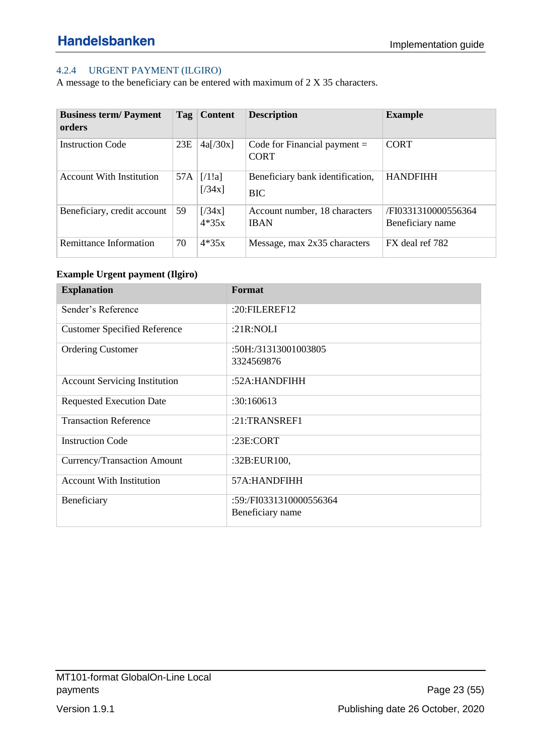### <span id="page-22-0"></span>4.2.4 URGENT PAYMENT (ILGIRO)

A message to the beneficiary can be entered with maximum of 2 X 35 characters.

| <b>Business term/Payment</b><br>orders | Tag | <b>Content</b>    | <b>Description</b>                             | <b>Example</b>                          |
|----------------------------------------|-----|-------------------|------------------------------------------------|-----------------------------------------|
| <b>Instruction Code</b>                | 23E | 4a[/30x]          | Code for Financial payment $=$<br><b>CORT</b>  | <b>CORT</b>                             |
| <b>Account With Institution</b>        | 57A | [71!]<br>[734x]   | Beneficiary bank identification,<br><b>BIC</b> | <b>HANDFIHH</b>                         |
| Beneficiary, credit account            | 59  | [734x]<br>$4*35x$ | Account number, 18 characters<br><b>IBAN</b>   | /FI0331310000556364<br>Beneficiary name |
| Remittance Information                 | 70  | $4*35x$           | Message, max 2x35 characters                   | FX deal ref 782                         |

### **Example Urgent payment (Ilgiro)**

| <b>Explanation</b>                   | Format                  |
|--------------------------------------|-------------------------|
| Sender's Reference                   | : $20:$ FILEREF12       |
| <b>Customer Specified Reference</b>  | : $21R:NOLI$            |
| <b>Ordering Customer</b>             | :50H:/31313001003805    |
|                                      | 3324569876              |
| <b>Account Servicing Institution</b> | :52A:HANDFIHH           |
| <b>Requested Execution Date</b>      | :30:160613              |
| <b>Transaction Reference</b>         | $:21$ :TRANSREF1        |
| <b>Instruction Code</b>              | : $23E$ :CORT           |
| Currency/Transaction Amount          | :32B:EUR100,            |
| <b>Account With Institution</b>      | 57A:HANDFIHH            |
| Beneficiary                          | :59:/FI0331310000556364 |
|                                      | Beneficiary name        |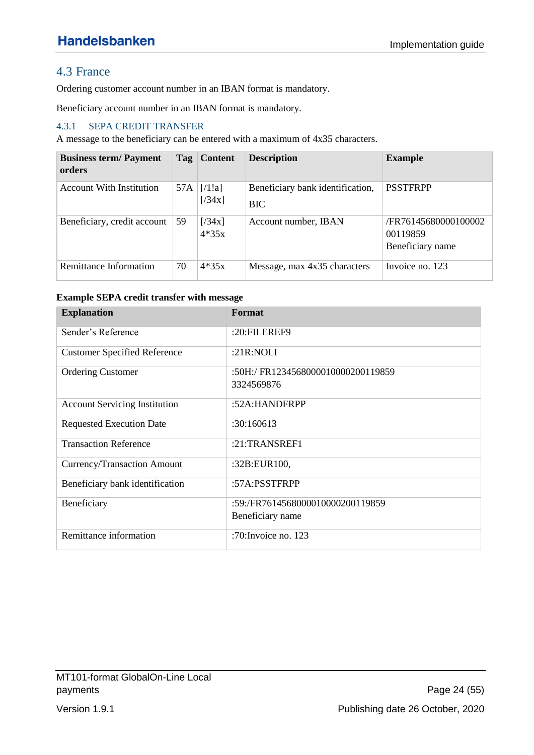## <span id="page-23-0"></span>4.3 France

Ordering customer account number in an IBAN format is mandatory.

Beneficiary account number in an IBAN format is mandatory.

### <span id="page-23-1"></span>4.3.1 SEPA CREDIT TRANSFER

A message to the beneficiary can be entered with a maximum of 4x35 characters.

| <b>Business term/Payment</b><br>orders | Taq | <b>Content</b>    | <b>Description</b>                             | <b>Example</b>                                       |
|----------------------------------------|-----|-------------------|------------------------------------------------|------------------------------------------------------|
| <b>Account With Institution</b>        | 57A | [71!]<br>[734x]   | Beneficiary bank identification,<br><b>BIC</b> | <b>PSSTFRPP</b>                                      |
| Beneficiary, credit account            | 59  | [734x]<br>$4*35x$ | Account number, IBAN                           | /FR76145680000100002<br>00119859<br>Beneficiary name |
| Remittance Information                 | 70  | $4*35x$           | Message, max 4x35 characters                   | Invoice no. 123                                      |

#### **Example SEPA credit transfer with message**

| <b>Explanation</b>                   | Format                            |
|--------------------------------------|-----------------------------------|
| Sender's Reference                   | :20:FILEREF9                      |
| <b>Customer Specified Reference</b>  | : $21R:NOLI$                      |
| <b>Ordering Customer</b>             | :50H:/FR1234568000010000200119859 |
|                                      | 3324569876                        |
| <b>Account Servicing Institution</b> | :52A:HANDFRPP                     |
| <b>Requested Execution Date</b>      | :30:160613                        |
| <b>Transaction Reference</b>         | $:21$ :TRANSREF1                  |
| Currency/Transaction Amount          | :32B:EUR100,                      |
| Beneficiary bank identification      | :57A:PSSTFRPP                     |
| Beneficiary                          | :59:/FR7614568000010000200119859  |
|                                      | Beneficiary name                  |
| Remittance information               | :70: Invoice no. 123              |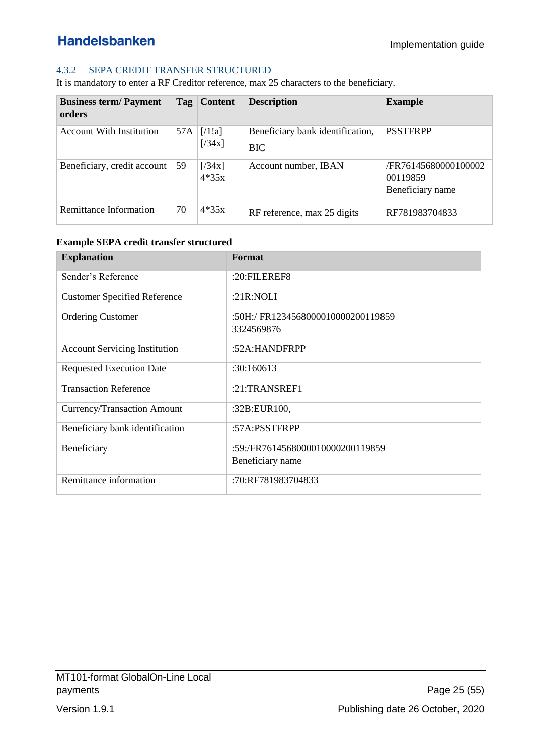### <span id="page-24-0"></span>4.3.2 SEPA CREDIT TRANSFER STRUCTURED

It is mandatory to enter a RF Creditor reference, max 25 characters to the beneficiary.

| <b>Business term/Payment</b><br>orders | Tag | <b>Content</b>    | <b>Description</b>                             | <b>Example</b>                                       |
|----------------------------------------|-----|-------------------|------------------------------------------------|------------------------------------------------------|
| <b>Account With Institution</b>        | 57A | [71!]<br>[734x]   | Beneficiary bank identification,<br><b>BIC</b> | <b>PSSTFRPP</b>                                      |
| Beneficiary, credit account            | 59  | [734x]<br>$4*35x$ | Account number, IBAN                           | /FR76145680000100002<br>00119859<br>Beneficiary name |
| Remittance Information                 | 70  | $4*35x$           | RF reference, max 25 digits                    | RF781983704833                                       |

#### **Example SEPA credit transfer structured**

| <b>Explanation</b>                   | Format                                               |
|--------------------------------------|------------------------------------------------------|
| Sender's Reference                   | $:20:$ FILEREF8                                      |
| <b>Customer Specified Reference</b>  | : $21R:NOLI$                                         |
| <b>Ordering Customer</b>             | :50H:/FR1234568000010000200119859<br>3324569876      |
| <b>Account Servicing Institution</b> | :52A:HANDFRPP                                        |
| <b>Requested Execution Date</b>      | :30:160613                                           |
| <b>Transaction Reference</b>         | $:21$ :TRANSREF1                                     |
| Currency/Transaction Amount          | :32B:EUR100,                                         |
| Beneficiary bank identification      | :57A:PSSTFRPP                                        |
| Beneficiary                          | :59:/FR7614568000010000200119859<br>Beneficiary name |
| Remittance information               | :70:RF781983704833                                   |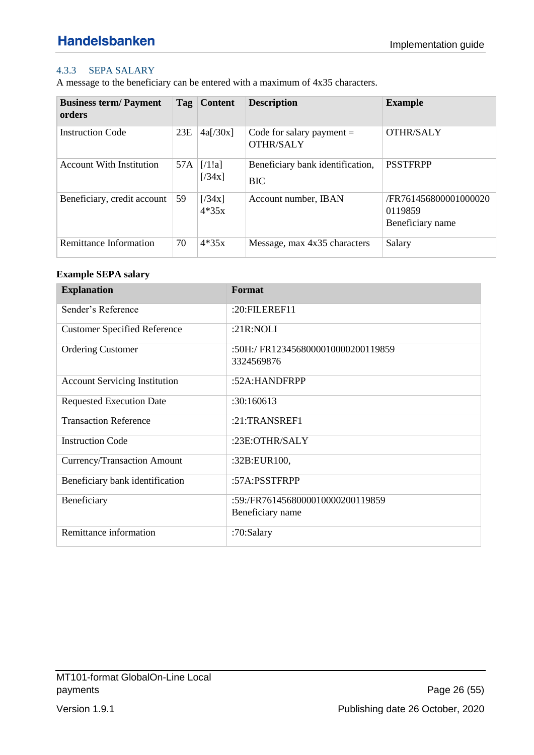### <span id="page-25-0"></span>4.3.3 SEPA SALARY

A message to the beneficiary can be entered with a maximum of 4x35 characters.

| <b>Business term/Payment</b><br>orders | Tag | <b>Content</b>    | <b>Description</b>                              | <b>Example</b>                                       |
|----------------------------------------|-----|-------------------|-------------------------------------------------|------------------------------------------------------|
| <b>Instruction Code</b>                | 23E | 4a[/30x]          | Code for salary payment $=$<br><b>OTHR/SALY</b> | <b>OTHR/SALY</b>                                     |
| <b>Account With Institution</b>        | 57A | [71!]<br>[734x]   | Beneficiary bank identification,<br><b>BIC</b>  | <b>PSSTFRPP</b>                                      |
| Beneficiary, credit account            | 59  | [734x]<br>$4*35x$ | Account number, IBAN                            | /FR761456800001000020<br>0119859<br>Beneficiary name |
| Remittance Information                 | 70  | $4*35x$           | Message, max 4x35 characters                    | Salary                                               |

### **Example SEPA salary**

| <b>Explanation</b>                   | Format                            |
|--------------------------------------|-----------------------------------|
| Sender's Reference                   | :20:FILEREF11                     |
| <b>Customer Specified Reference</b>  | :21R:NOLI                         |
| <b>Ordering Customer</b>             | :50H:/FR1234568000010000200119859 |
|                                      | 3324569876                        |
| <b>Account Servicing Institution</b> | :52A:HANDFRPP                     |
| <b>Requested Execution Date</b>      | :30:160613                        |
| <b>Transaction Reference</b>         | $:21$ :TRANSREF1                  |
| <b>Instruction Code</b>              | :23E:OTHR/SALY                    |
| Currency/Transaction Amount          | :32B:EUR100,                      |
| Beneficiary bank identification      | :57A:PSSTFRPP                     |
| Beneficiary                          | :59:/FR7614568000010000200119859  |
|                                      | Beneficiary name                  |
| Remittance information               | :70:Salary                        |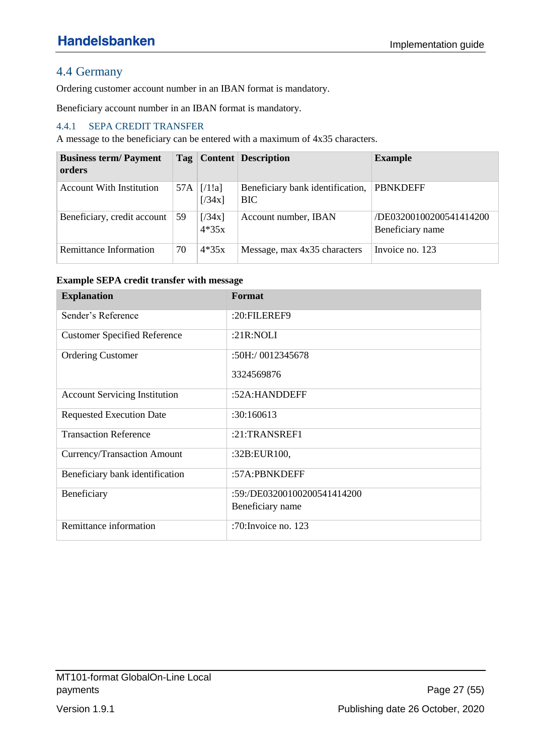## <span id="page-26-0"></span>4.4 Germany

Ordering customer account number in an IBAN format is mandatory.

Beneficiary account number in an IBAN format is mandatory.

### <span id="page-26-1"></span>4.4.1 SEPA CREDIT TRANSFER

A message to the beneficiary can be entered with a maximum of 4x35 characters.

| <b>Business term/Payment</b><br>orders |            |                   | <b>Tag</b>   Content   Description             | <b>Example</b>                              |
|----------------------------------------|------------|-------------------|------------------------------------------------|---------------------------------------------|
| <b>Account With Institution</b>        | 57A        | [71!]<br>[734x]   | Beneficiary bank identification,<br><b>BIC</b> | <b>PBNKDEFF</b>                             |
| Beneficiary, credit account            | $\vert$ 59 | [734x]<br>$4*35x$ | Account number, IBAN                           | /DE03200100200541414200<br>Beneficiary name |
| Remittance Information                 | 70         | $4*35x$           | Message, max 4x35 characters                   | Invoice no. 123                             |

#### **Example SEPA credit transfer with message**

| <b>Explanation</b>                   | Format                      |
|--------------------------------------|-----------------------------|
| Sender's Reference                   | :20:FILEREF9                |
| <b>Customer Specified Reference</b>  | : $21R:NOLI$                |
| <b>Ordering Customer</b>             | :50H:/ 0012345678           |
|                                      | 3324569876                  |
| <b>Account Servicing Institution</b> | :52A:HANDDEFF               |
| <b>Requested Execution Date</b>      | :30:160613                  |
| <b>Transaction Reference</b>         | :21:TRANSREF1               |
| Currency/Transaction Amount          | :32B:EUR100,                |
| Beneficiary bank identification      | :57A:PBNKDEFF               |
| Beneficiary                          | :59:/DE03200100200541414200 |
|                                      | Beneficiary name            |
| Remittance information               | :70: Invoice no. $123$      |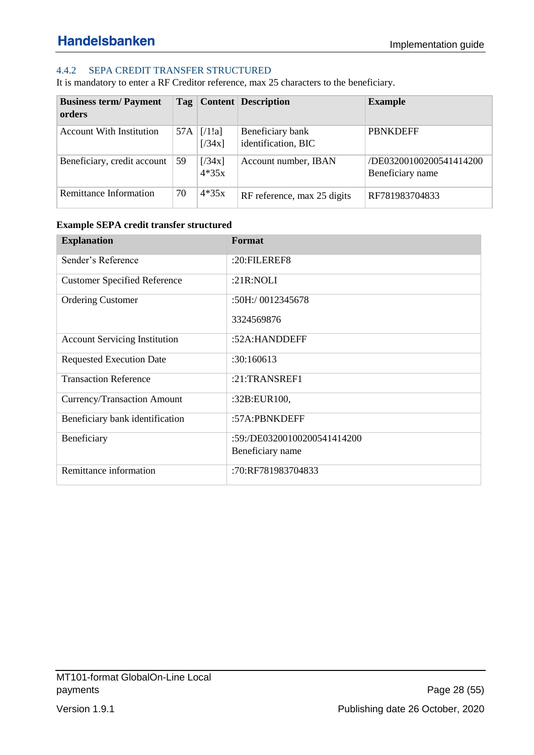### <span id="page-27-0"></span>4.4.2 SEPA CREDIT TRANSFER STRUCTURED

It is mandatory to enter a RF Creditor reference, max 25 characters to the beneficiary.

| <b>Business term/Payment</b><br>orders |     |                   | Tag   Content   Description             | <b>Example</b>                              |
|----------------------------------------|-----|-------------------|-----------------------------------------|---------------------------------------------|
| <b>Account With Institution</b>        | 57A | [71!]<br>[734x]   | Beneficiary bank<br>identification, BIC | <b>PBNKDEFF</b>                             |
| Beneficiary, credit account            | 59  | [734x]<br>$4*35x$ | Account number, IBAN                    | /DE03200100200541414200<br>Beneficiary name |
| Remittance Information                 | 70  | $4*35x$           | RF reference, max 25 digits             | RF781983704833                              |

#### **Example SEPA credit transfer structured**

| <b>Explanation</b>                   | Format                                          |
|--------------------------------------|-------------------------------------------------|
| Sender's Reference                   | $:20:$ FILEREF8                                 |
| <b>Customer Specified Reference</b>  | : $21R:NOLI$                                    |
| <b>Ordering Customer</b>             | $:50H$ :/ 0012345678                            |
|                                      | 3324569876                                      |
| <b>Account Servicing Institution</b> | :52A:HANDDEFF                                   |
| <b>Requested Execution Date</b>      | :30:160613                                      |
| <b>Transaction Reference</b>         | :21:TRANSREF1                                   |
| Currency/Transaction Amount          | :32B:EUR100,                                    |
| Beneficiary bank identification      | :57A:PBNKDEFF                                   |
| Beneficiary                          | :59:/DE03200100200541414200<br>Beneficiary name |
|                                      |                                                 |
| Remittance information               | :70:RF781983704833                              |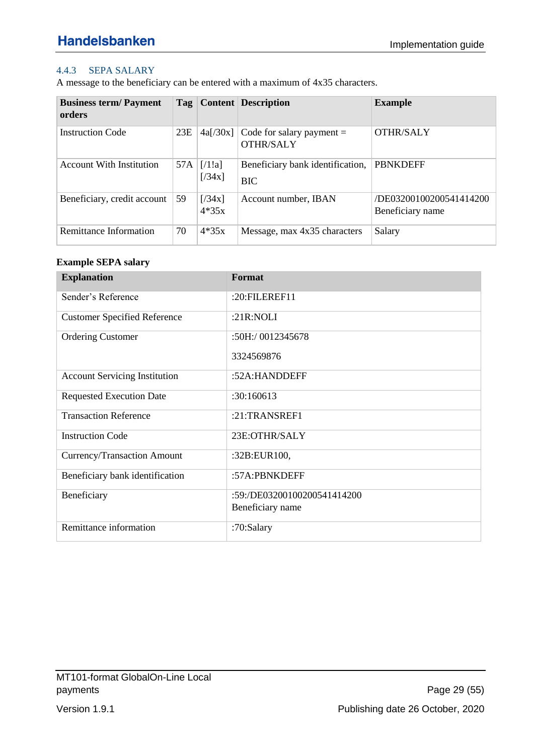### <span id="page-28-0"></span>4.4.3 SEPA SALARY

A message to the beneficiary can be entered with a maximum of 4x35 characters.

| <b>Business term/Payment</b><br>orders | Tag |                   | <b>Content</b> Description                      | <b>Example</b>                              |
|----------------------------------------|-----|-------------------|-------------------------------------------------|---------------------------------------------|
| <b>Instruction Code</b>                | 23E | 4a[/30x]          | Code for salary payment $=$<br><b>OTHR/SALY</b> | <b>OTHR/SALY</b>                            |
| <b>Account With Institution</b>        | 57A | [71!]<br>[734x]   | Beneficiary bank identification,<br><b>BIC</b>  | <b>PBNKDEFF</b>                             |
| Beneficiary, credit account            | 59  | [734x]<br>$4*35x$ | Account number, IBAN                            | /DE03200100200541414200<br>Beneficiary name |
| Remittance Information                 | 70  | $4*35x$           | Message, max 4x35 characters                    | Salary                                      |

### **Example SEPA salary**

| <b>Explanation</b>                   | Format                      |
|--------------------------------------|-----------------------------|
| Sender's Reference                   | :20:FILEREF11               |
| <b>Customer Specified Reference</b>  | : $21R:NOLI$                |
| <b>Ordering Customer</b>             | :50H:/ 0012345678           |
|                                      | 3324569876                  |
| <b>Account Servicing Institution</b> | :52A:HANDDEFF               |
| <b>Requested Execution Date</b>      | :30:160613                  |
| <b>Transaction Reference</b>         | $:21$ :TRANSREF1            |
| <b>Instruction Code</b>              | 23E:OTHR/SALY               |
| Currency/Transaction Amount          | :32B:EUR100,                |
| Beneficiary bank identification      | :57A:PBNKDEFF               |
| Beneficiary                          | :59:/DE03200100200541414200 |
|                                      | Beneficiary name            |
| Remittance information               | :70:Salary                  |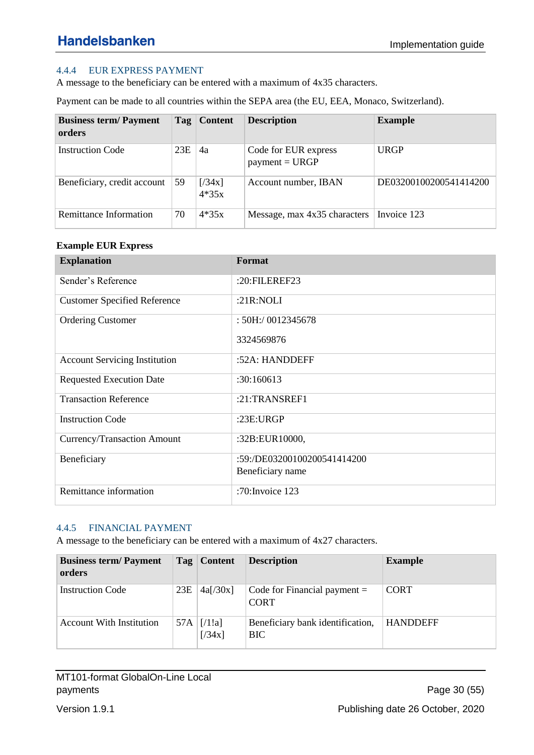### <span id="page-29-0"></span>4.4.4 EUR EXPRESS PAYMENT

A message to the beneficiary can be entered with a maximum of 4x35 characters.

Payment can be made to all countries within the SEPA area (the EU, EEA, Monaco, Switzerland).

| <b>Business term/Payment</b><br>orders |     | Tag   Content     | <b>Description</b>                       | <b>Example</b>         |
|----------------------------------------|-----|-------------------|------------------------------------------|------------------------|
| <b>Instruction Code</b>                | 23E | 4a                | Code for EUR express<br>$payment = URGP$ | <b>URGP</b>            |
| Beneficiary, credit account            | 59  | [734x]<br>$4*35x$ | Account number, IBAN                     | DE03200100200541414200 |
| Remittance Information                 | 70  | $4*35x$           | Message, max 4x35 characters             | Invoice 123            |

#### **Example EUR Express**

| <b>Explanation</b>                   | Format                                          |
|--------------------------------------|-------------------------------------------------|
| Sender's Reference                   | :20:FILEREF23                                   |
| <b>Customer Specified Reference</b>  | : $21R:NOLI$                                    |
| <b>Ordering Customer</b>             | : 50H:/ 0012345678                              |
|                                      | 3324569876                                      |
| <b>Account Servicing Institution</b> | :52A: HANDDEFF                                  |
| <b>Requested Execution Date</b>      | :30:160613                                      |
| <b>Transaction Reference</b>         | :21:TRANSREF1                                   |
| <b>Instruction Code</b>              | : $23E:URGP$                                    |
| Currency/Transaction Amount          | :32B:EUR10000,                                  |
| Beneficiary                          | :59:/DE03200100200541414200<br>Beneficiary name |
|                                      |                                                 |
| Remittance information               | :70: Invoice 123                                |

#### <span id="page-29-1"></span>4.4.5 FINANCIAL PAYMENT

A message to the beneficiary can be entered with a maximum of 4x27 characters.

| <b>Business term/Payment</b><br>orders |     | Tag   Content   | <b>Description</b>                             | <b>Example</b>  |
|----------------------------------------|-----|-----------------|------------------------------------------------|-----------------|
| <b>Instruction Code</b>                | 23E | 4a[/30x]        | Code for Financial payment $=$<br><b>CORT</b>  | <b>CORT</b>     |
| <b>Account With Institution</b>        | 57A | [71!]<br>[734x] | Beneficiary bank identification,<br><b>BIC</b> | <b>HANDDEFF</b> |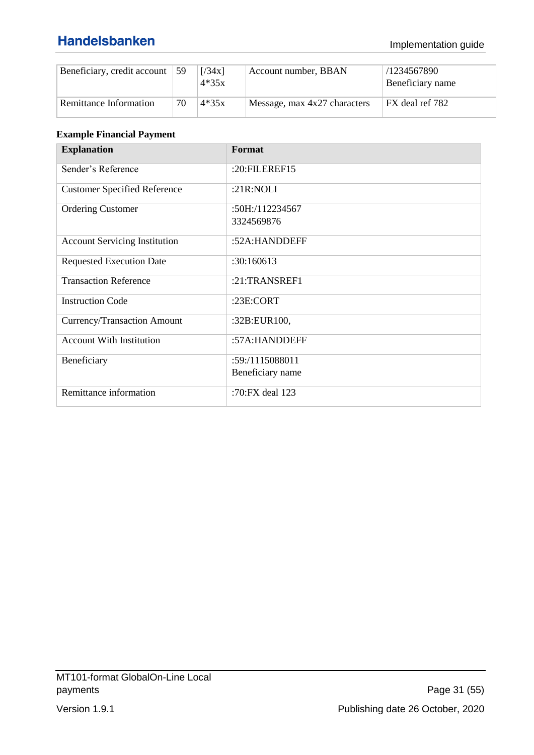### Implementation guide

| Beneficiary, credit account $\vert$ 59 |    | [734x]<br>$4*35x$ | Account number, BBAN         | /1234567890<br>Beneficiary name |
|----------------------------------------|----|-------------------|------------------------------|---------------------------------|
| Remittance Information                 | 70 | $4*35x$           | Message, max 4x27 characters | FX deal ref 782                 |

### **Example Financial Payment**

| <b>Explanation</b>                   | Format             |
|--------------------------------------|--------------------|
| Sender's Reference                   | :20:FILEREF15      |
| <b>Customer Specified Reference</b>  | : $21R:NOLI$       |
| <b>Ordering Customer</b>             | $:50H$ :/112234567 |
|                                      | 3324569876         |
| <b>Account Servicing Institution</b> | :52A:HANDDEFF      |
| <b>Requested Execution Date</b>      | :30:160613         |
| <b>Transaction Reference</b>         | $:21$ :TRANSREF1   |
| <b>Instruction Code</b>              | : $23E$ :CORT      |
| Currency/Transaction Amount          | :32B:EUR100,       |
| <b>Account With Institution</b>      | :57A:HANDDEFF      |
| Beneficiary                          | :59:/1115088011    |
|                                      | Beneficiary name   |
| Remittance information               | :70:FX deal 123    |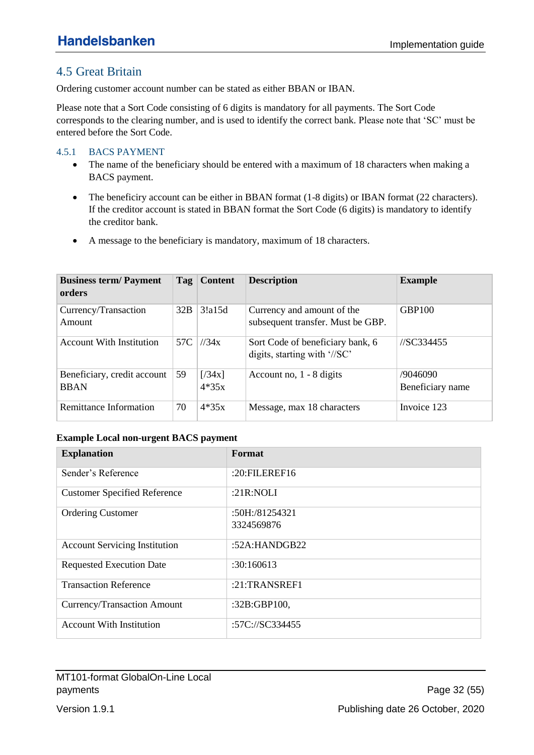## <span id="page-31-0"></span>4.5 Great Britain

Ordering customer account number can be stated as either BBAN or IBAN.

Please note that a Sort Code consisting of 6 digits is mandatory for all payments. The Sort Code corresponds to the clearing number, and is used to identify the correct bank. Please note that 'SC' must be entered before the Sort Code.

#### <span id="page-31-1"></span>4.5.1 BACS PAYMENT

- The name of the beneficiary should be entered with a maximum of 18 characters when making a BACS payment.
- The beneficiry account can be either in BBAN format (1-8 digits) or IBAN format (22 characters). If the creditor account is stated in BBAN format the Sort Code (6 digits) is mandatory to identify the creditor bank.
- A message to the beneficiary is mandatory, maximum of 18 characters.

| <b>Business term/Payment</b><br>orders     | Tag | <b>Content</b>    | <b>Description</b>                                               | <b>Example</b>               |
|--------------------------------------------|-----|-------------------|------------------------------------------------------------------|------------------------------|
| Currency/Transaction<br>Amount             | 32B | 3!a15d            | Currency and amount of the<br>subsequent transfer. Must be GBP.  | <b>GBP100</b>                |
| <b>Account With Institution</b>            | 57C | 1/34x             | Sort Code of beneficiary bank, 6<br>digits, starting with '//SC' | //SC334455                   |
| Beneficiary, credit account<br><b>BBAN</b> | 59  | [734x]<br>$4*35x$ | Account no, $1 - 8$ digits                                       | /9046090<br>Beneficiary name |
| Remittance Information                     | 70  | $4*35x$           | Message, max 18 characters                                       | Invoice 123                  |

#### **Example Local non-urgent BACS payment**

| <b>Explanation</b>                   | Format           |
|--------------------------------------|------------------|
| Sender's Reference                   | :20:FILEREF16    |
| <b>Customer Specified Reference</b>  | : $21R:NOLI$     |
| <b>Ordering Customer</b>             | :50H:/81254321   |
|                                      | 3324569876       |
| <b>Account Servicing Institution</b> | :52A: $HANDGB22$ |
| <b>Requested Execution Date</b>      | :30:160613       |
| <b>Transaction Reference</b>         | :21:TRANSREF1    |
| Currency/Transaction Amount          | :32B:GBP100,     |
| <b>Account With Institution</b>      | :57C://SC334455  |

MT101-format GlobalOn-Line Local payments **Page 32 (55)** payments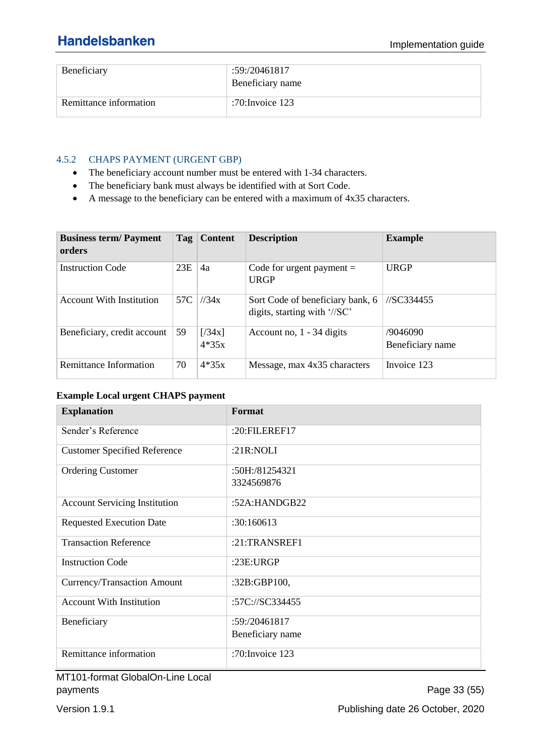| Beneficiary            | :59:/20461817<br>Beneficiary name |
|------------------------|-----------------------------------|
| Remittance information | :70:Invoice $123$                 |

#### <span id="page-32-0"></span>4.5.2 CHAPS PAYMENT (URGENT GBP)

- The beneficiary account number must be entered with 1-34 characters.
- The beneficiary bank must always be identified with at Sort Code.
- A message to the beneficiary can be entered with a maximum of 4x35 characters.

| <b>Business term/Payment</b><br>orders | Tag | <b>Content</b>    | <b>Description</b>                                               | <b>Example</b>               |
|----------------------------------------|-----|-------------------|------------------------------------------------------------------|------------------------------|
| <b>Instruction Code</b>                | 23E | 4a                | Code for urgent payment $=$<br><b>URGP</b>                       | <b>URGP</b>                  |
| <b>Account With Institution</b>        | 57C | 1/34x             | Sort Code of beneficiary bank, 6<br>digits, starting with '//SC' | //SC334455                   |
| Beneficiary, credit account            | 59  | [734x]<br>$4*35x$ | Account no, $1 - 34$ digits                                      | /9046090<br>Beneficiary name |
| Remittance Information                 | 70  | $4*35x$           | Message, max 4x35 characters                                     | Invoice 123                  |

#### **Example Local urgent CHAPS payment**

| <b>Explanation</b>                   | Format             |
|--------------------------------------|--------------------|
| Sender's Reference                   | :20:FILEREF17      |
| <b>Customer Specified Reference</b>  | : $21R:NOLI$       |
| <b>Ordering Customer</b>             | :50H:/81254321     |
|                                      | 3324569876         |
| <b>Account Servicing Institution</b> | :52A:HANDGB22      |
| <b>Requested Execution Date</b>      | :30:160613         |
| <b>Transaction Reference</b>         | $:21$ :TRANSREF1   |
| <b>Instruction Code</b>              | :23E:URGP          |
| Currency/Transaction Amount          | :32B:GBP100,       |
| <b>Account With Institution</b>      | :57C://SC334455    |
| Beneficiary                          | :59: / 20461817    |
|                                      | Beneficiary name   |
| Remittance information               | :70: Invoice $123$ |

MT101-format GlobalOn-Line Local payments Page 33 (55)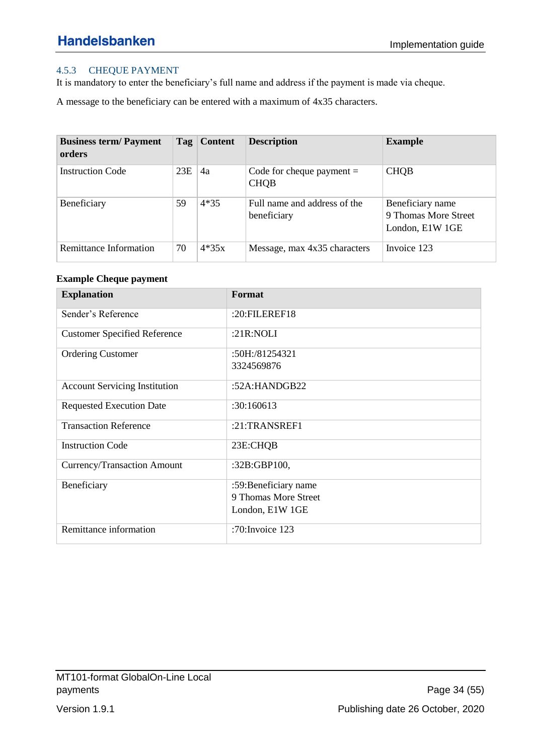### <span id="page-33-0"></span>4.5.3 CHEQUE PAYMENT

It is mandatory to enter the beneficiary's full name and address if the payment is made via cheque.

A message to the beneficiary can be entered with a maximum of 4x35 characters.

| <b>Business term/Payment</b><br>orders |     | Tag   Content | <b>Description</b>                          | <b>Example</b>                                              |
|----------------------------------------|-----|---------------|---------------------------------------------|-------------------------------------------------------------|
| <b>Instruction Code</b>                | 23E | 4a            | Code for cheque payment $=$<br><b>CHOB</b>  | <b>CHQB</b>                                                 |
| Beneficiary                            | 59  | $4*35$        | Full name and address of the<br>beneficiary | Beneficiary name<br>9 Thomas More Street<br>London, E1W 1GE |
| <b>Remittance Information</b>          | 70  | $4*35x$       | Message, max 4x35 characters                | Invoice 123                                                 |

#### **Example Cheque payment**

| <b>Explanation</b>                   | Format                |
|--------------------------------------|-----------------------|
| Sender's Reference                   | :20:FILEREF18         |
| <b>Customer Specified Reference</b>  | : $21R:NOLI$          |
| <b>Ordering Customer</b>             | :50H:/81254321        |
|                                      | 3324569876            |
| <b>Account Servicing Institution</b> | :52A:HANDGB22         |
| <b>Requested Execution Date</b>      | :30:160613            |
| <b>Transaction Reference</b>         | $:21$ :TRANSREF1      |
| <b>Instruction Code</b>              | 23E:CHQB              |
| Currency/Transaction Amount          | :32B:GBP100,          |
| Beneficiary                          | :59: Beneficiary name |
|                                      | 9 Thomas More Street  |
|                                      | London, E1W 1GE       |
| Remittance information               | :70: Invoice 123      |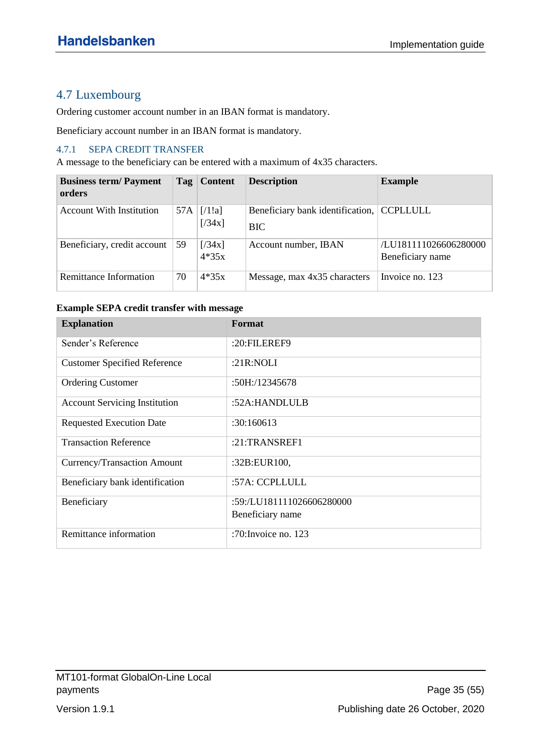## <span id="page-34-0"></span>4.7 Luxembourg

Ordering customer account number in an IBAN format is mandatory.

Beneficiary account number in an IBAN format is mandatory.

#### <span id="page-34-1"></span>4.7.1 SEPA CREDIT TRANSFER

A message to the beneficiary can be entered with a maximum of 4x35 characters.

| <b>Business term/Payment</b><br>orders |     | Tag   Content     | <b>Description</b>                             | <b>Example</b>                            |
|----------------------------------------|-----|-------------------|------------------------------------------------|-------------------------------------------|
| <b>Account With Institution</b>        | 57A | [71!]<br>[734x]   | Beneficiary bank identification,<br><b>BIC</b> | <b>CCPLLULL</b>                           |
| Beneficiary, credit account            | 59  | [734x]<br>$4*35x$ | Account number, IBAN                           | /LU181111026606280000<br>Beneficiary name |
| Remittance Information                 | 70  | $4*35x$           | Message, max 4x35 characters                   | Invoice no. 123                           |

#### **Example SEPA credit transfer with message**

| <b>Explanation</b>                   | Format                    |
|--------------------------------------|---------------------------|
| Sender's Reference                   | :20:FILEREF9              |
| <b>Customer Specified Reference</b>  | :21 $R:NOLI$              |
| <b>Ordering Customer</b>             | :50H:/12345678            |
| <b>Account Servicing Institution</b> | :52A:HANDLULB             |
| <b>Requested Execution Date</b>      | :30:160613                |
| <b>Transaction Reference</b>         | :21:TRANSREF1             |
| Currency/Transaction Amount          | :32B:EUR100,              |
| Beneficiary bank identification      | :57A: CCPLLULL            |
| Beneficiary                          | :59:/LU181111026606280000 |
|                                      | Beneficiary name          |
| Remittance information               | :70: Invoice no. 123      |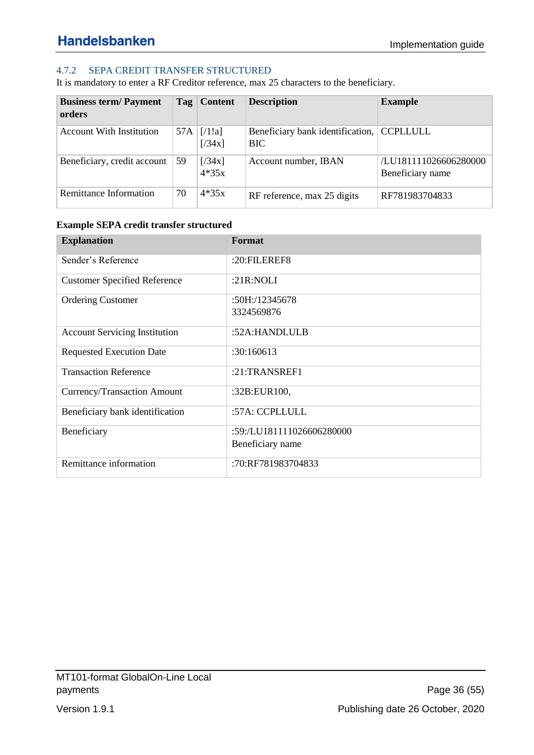### <span id="page-35-0"></span>4.7.2 SEPA CREDIT TRANSFER STRUCTURED

It is mandatory to enter a RF Creditor reference, max 25 characters to the beneficiary.

| <b>Business term/Payment</b><br>orders |     | Tag   Content     | <b>Description</b>                                      | <b>Example</b>                            |
|----------------------------------------|-----|-------------------|---------------------------------------------------------|-------------------------------------------|
| <b>Account With Institution</b>        | 57A | [71!]<br>[734x]   | Beneficiary bank identification, CCPLLULL<br><b>BIC</b> |                                           |
| Beneficiary, credit account            | 59  | [734x]<br>$4*35x$ | Account number, IBAN                                    | /LU181111026606280000<br>Beneficiary name |
| Remittance Information                 | 70  | $4*35x$           | RF reference, max 25 digits                             | RF781983704833                            |

#### **Example SEPA credit transfer structured**

| <b>Explanation</b>                   | Format                    |
|--------------------------------------|---------------------------|
| Sender's Reference                   | $:20:$ FILEREF8           |
| <b>Customer Specified Reference</b>  | : $21R:NOLI$              |
| <b>Ordering Customer</b>             | $:50H$ :/12345678         |
|                                      | 3324569876                |
| <b>Account Servicing Institution</b> | :52A:HANDLULB             |
| <b>Requested Execution Date</b>      | :30:160613                |
| <b>Transaction Reference</b>         | $:21$ :TRANSREF1          |
| Currency/Transaction Amount          | :32B:EUR100,              |
| Beneficiary bank identification      | :57A: CCPLLULL            |
| Beneficiary                          | :59:/LU181111026606280000 |
|                                      | Beneficiary name          |
| Remittance information               | :70:RF781983704833        |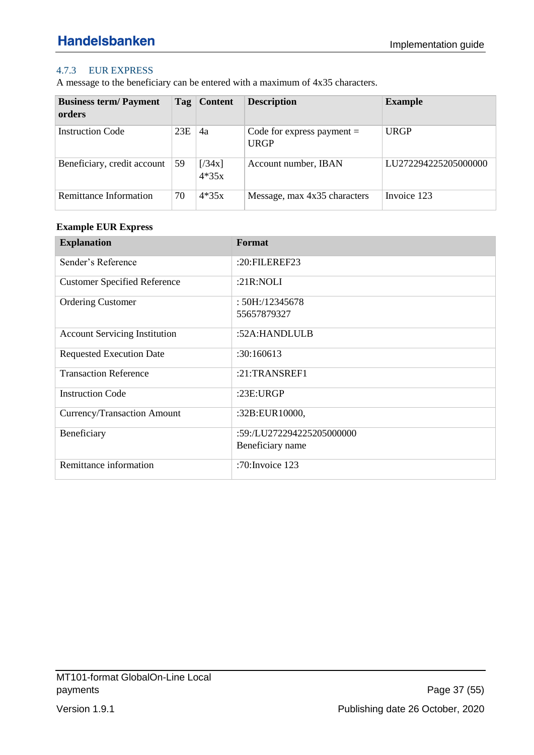### <span id="page-36-0"></span>4.7.3 EUR EXPRESS

A message to the beneficiary can be entered with a maximum of 4x35 characters.

| <b>Business term/Payment</b><br>orders |     | Tag   Content     | <b>Description</b>                          | <b>Example</b>       |
|----------------------------------------|-----|-------------------|---------------------------------------------|----------------------|
| <b>Instruction Code</b>                | 23E | 4a                | Code for express payment $=$<br><b>URGP</b> | <b>URGP</b>          |
| Beneficiary, credit account            | 59  | [734x]<br>$4*35x$ | Account number, IBAN                        | LU272294225205000000 |
| Remittance Information                 | 70  | $4*35x$           | Message, max 4x35 characters                | Invoice 123          |

### **Example EUR Express**

| <b>Explanation</b>                   | Format                    |
|--------------------------------------|---------------------------|
| Sender's Reference                   | :20: $FILEREF23$          |
| <b>Customer Specified Reference</b>  | : $21R:NOLI$              |
| <b>Ordering Customer</b>             | :50H/12345678             |
|                                      | 55657879327               |
| <b>Account Servicing Institution</b> | :52A:HANDLULB             |
| <b>Requested Execution Date</b>      | :30:160613                |
| <b>Transaction Reference</b>         | $:21$ :TRANSREF1          |
| <b>Instruction Code</b>              | : $23E:URGP$              |
| Currency/Transaction Amount          | :32B:EUR10000,            |
| Beneficiary                          | :59:/LU272294225205000000 |
|                                      | Beneficiary name          |
| Remittance information               | :70: Invoice 123          |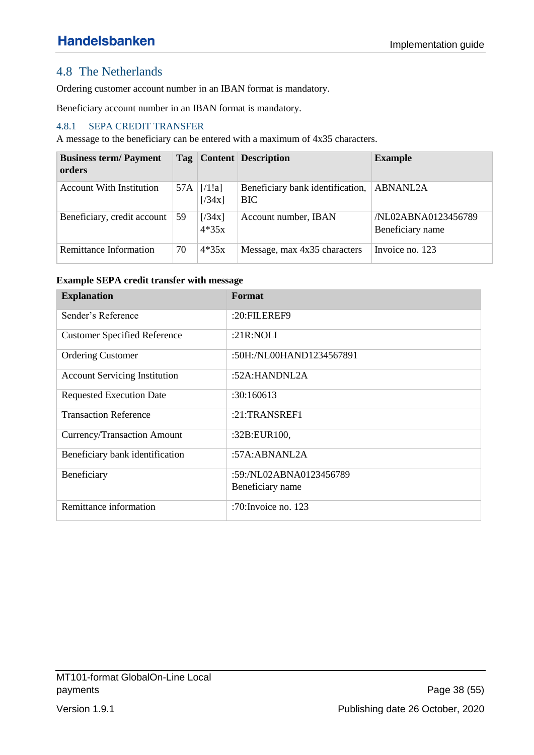## <span id="page-37-0"></span>4.8 The Netherlands

Ordering customer account number in an IBAN format is mandatory.

Beneficiary account number in an IBAN format is mandatory.

### <span id="page-37-1"></span>4.8.1 SEPA CREDIT TRANSFER

A message to the beneficiary can be entered with a maximum of 4x35 characters.

| <b>Business term/Payment</b><br>orders |     |                   | Tag   Content   Description                    | <b>Example</b>                          |
|----------------------------------------|-----|-------------------|------------------------------------------------|-----------------------------------------|
| <b>Account With Institution</b>        | 57A | [71!]<br>[734x]   | Beneficiary bank identification,<br><b>BIC</b> | <b>ABNANL2A</b>                         |
| Beneficiary, credit account            | 59  | [734x]<br>$4*35x$ | Account number, IBAN                           | /NL02ABNA0123456789<br>Beneficiary name |
| Remittance Information                 | 70  | $4*35x$           | Message, max 4x35 characters                   | Invoice no. 123                         |

#### **Example SEPA credit transfer with message**

| <b>Explanation</b>                   | Format                   |
|--------------------------------------|--------------------------|
| Sender's Reference                   | :20:FILEREF9             |
| <b>Customer Specified Reference</b>  | : $21R:NOLI$             |
| <b>Ordering Customer</b>             | :50H:/NL00HAND1234567891 |
| <b>Account Servicing Institution</b> | :52A:HANDNL2A            |
| <b>Requested Execution Date</b>      | :30:160613               |
| <b>Transaction Reference</b>         | $:21$ :TRANSREF1         |
| Currency/Transaction Amount          | :32B:EUR100,             |
| Beneficiary bank identification      | :57A:ABNANL2A            |
| Beneficiary                          | :59:/NL02ABNA0123456789  |
|                                      | Beneficiary name         |
| Remittance information               | :70: Invoice no. $123$   |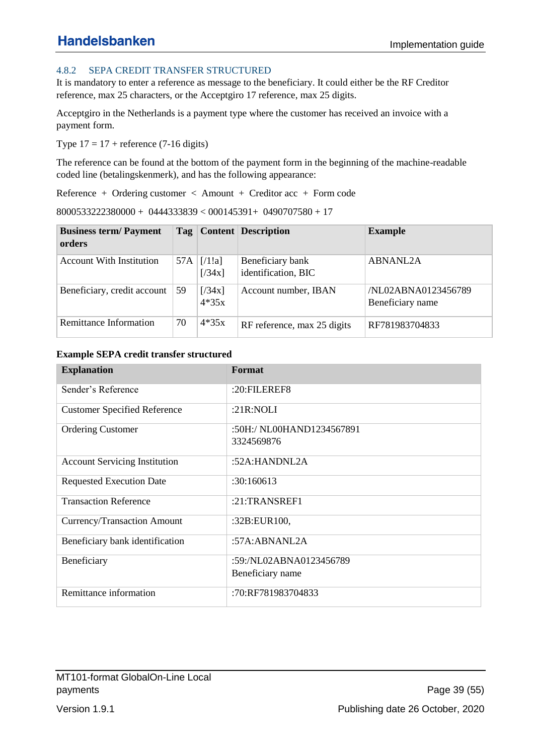### <span id="page-38-0"></span>4.8.2 SEPA CREDIT TRANSFER STRUCTURED

It is mandatory to enter a reference as message to the beneficiary. It could either be the RF Creditor reference, max 25 characters, or the Acceptgiro 17 reference, max 25 digits.

Acceptgiro in the Netherlands is a payment type where the customer has received an invoice with a payment form.

Type  $17 = 17$  + reference (7-16 digits)

The reference can be found at the bottom of the payment form in the beginning of the machine-readable coded line (betalingskenmerk), and has the following appearance:

Reference + Ordering customer < Amount + Creditor acc + Form code

8000533222380000 + 0444333839 < 000145391+ 0490707580 + 17

| <b>Business term/Payment</b><br>orders |     |                   | <b>Tag</b> Content Description          | <b>Example</b>                          |
|----------------------------------------|-----|-------------------|-----------------------------------------|-----------------------------------------|
| <b>Account With Institution</b>        | 57A | [71!]<br>[734x]   | Beneficiary bank<br>identification, BIC | <b>ABNANL2A</b>                         |
| Beneficiary, credit account            | 59  | [734x]<br>$4*35x$ | Account number, IBAN                    | /NL02ABNA0123456789<br>Beneficiary name |
| Remittance Information                 | 70  | $4*35x$           | RF reference, max 25 digits             | RF781983704833                          |

#### **Example SEPA credit transfer structured**

| <b>Explanation</b>                   | Format                                      |
|--------------------------------------|---------------------------------------------|
| Sender's Reference                   | $:20:$ FILEREF8                             |
| <b>Customer Specified Reference</b>  | : $21R:NOLI$                                |
| <b>Ordering Customer</b>             | :50H:/ NL00HAND1234567891<br>3324569876     |
| <b>Account Servicing Institution</b> | :52A: HANDNL2A                              |
| <b>Requested Execution Date</b>      | :30:160613                                  |
| <b>Transaction Reference</b>         | $:21$ :TRANSREF1                            |
| Currency/Transaction Amount          | :32B:EUR100,                                |
| Beneficiary bank identification      | :57A:ABNANL2A                               |
| Beneficiary                          | :59:/NL02ABNA0123456789<br>Beneficiary name |
| Remittance information               | :70:RF781983704833                          |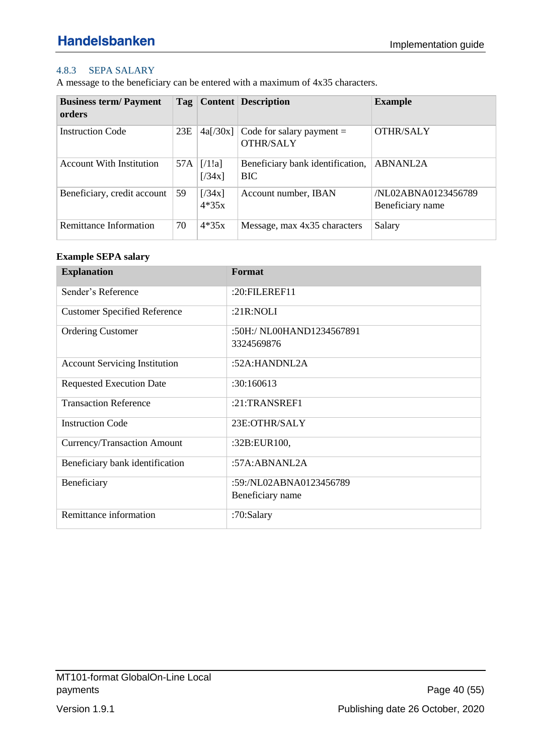### <span id="page-39-0"></span>4.8.3 SEPA SALARY

A message to the beneficiary can be entered with a maximum of 4x35 characters.

| <b>Business term/Payment</b><br>orders | Tag |                   | <b>Content Description</b>                      | <b>Example</b>                          |
|----------------------------------------|-----|-------------------|-------------------------------------------------|-----------------------------------------|
| <b>Instruction Code</b>                | 23E | 4a[/30x]          | Code for salary payment $=$<br><b>OTHR/SALY</b> | <b>OTHR/SALY</b>                        |
| <b>Account With Institution</b>        | 57A | [71!]<br>[734x]   | Beneficiary bank identification,<br><b>BIC</b>  | <b>ABNANL2A</b>                         |
| Beneficiary, credit account            | 59  | [734x]<br>$4*35x$ | Account number, IBAN                            | /NL02ABNA0123456789<br>Beneficiary name |
| Remittance Information                 | 70  | $4*35x$           | Message, max 4x35 characters                    | Salary                                  |

#### **Example SEPA salary**

| <b>Explanation</b>                   | Format                    |
|--------------------------------------|---------------------------|
| Sender's Reference                   | :20:FILEREF11             |
| <b>Customer Specified Reference</b>  | : $21R:NOLI$              |
| <b>Ordering Customer</b>             | :50H:/ NL00HAND1234567891 |
|                                      | 3324569876                |
| <b>Account Servicing Institution</b> | :52A: HANDNL2A            |
| <b>Requested Execution Date</b>      | :30:160613                |
| <b>Transaction Reference</b>         | $:21$ :TRANSREF1          |
| <b>Instruction Code</b>              | 23E:OTHR/SALY             |
| Currency/Transaction Amount          | :32B:EUR100,              |
| Beneficiary bank identification      | : $57A:ABNANL2A$          |
| Beneficiary                          | :59:/NL02ABNA0123456789   |
|                                      | Beneficiary name          |
| Remittance information               | :70:Salary                |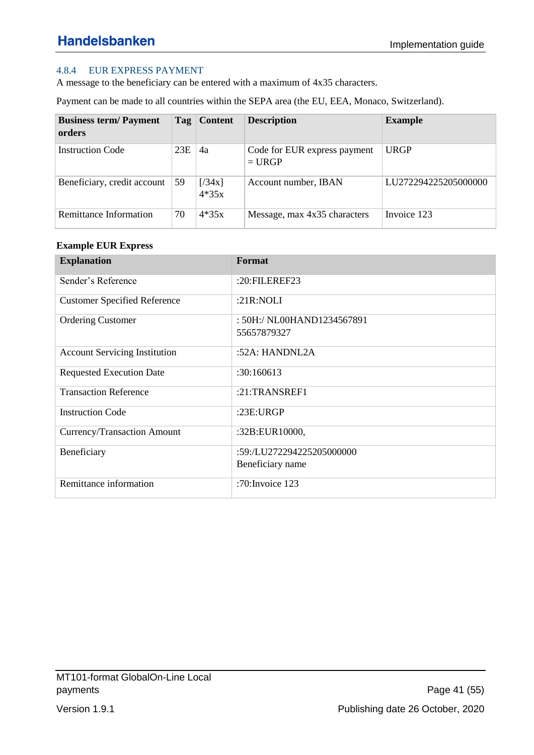### <span id="page-40-0"></span>4.8.4 EUR EXPRESS PAYMENT

A message to the beneficiary can be entered with a maximum of 4x35 characters.

Payment can be made to all countries within the SEPA area (the EU, EEA, Monaco, Switzerland).

| <b>Business term/Payment</b><br>orders |     | Tag   Content     | <b>Description</b>                       | <b>Example</b>       |
|----------------------------------------|-----|-------------------|------------------------------------------|----------------------|
| <b>Instruction Code</b>                | 23E | 4a                | Code for EUR express payment<br>$= URGP$ | <b>URGP</b>          |
| Beneficiary, credit account            | 59  | [734x]<br>$4*35x$ | Account number, IBAN                     | LU272294225205000000 |
| Remittance Information                 | 70  | $4*35x$           | Message, max 4x35 characters             | Invoice 123          |

#### **Example EUR Express**

| <b>Explanation</b>                   | Format                                        |
|--------------------------------------|-----------------------------------------------|
| Sender's Reference                   | :20:FILEREF23                                 |
| <b>Customer Specified Reference</b>  | :21 $R:NOLI$                                  |
| <b>Ordering Customer</b>             | : 50H:/ NL00HAND1234567891<br>55657879327     |
| <b>Account Servicing Institution</b> | :52A: HANDNL2A                                |
| <b>Requested Execution Date</b>      | :30:160613                                    |
| <b>Transaction Reference</b>         | $:21$ :TRANSREF1                              |
| <b>Instruction Code</b>              | :23E:URGP                                     |
| Currency/Transaction Amount          | :32B:EUR10000,                                |
| Beneficiary                          | :59:/LU272294225205000000<br>Beneficiary name |
| Remittance information               | :70: Invoice 123                              |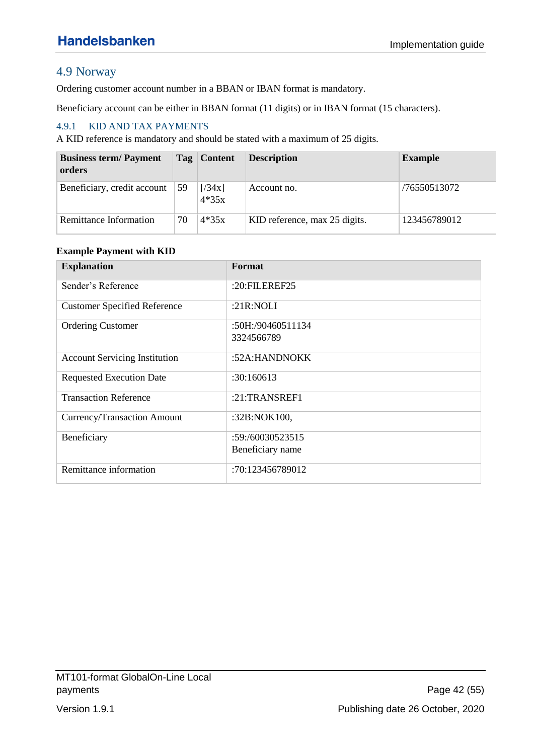# <span id="page-41-0"></span>4.9 Norway

Ordering customer account number in a BBAN or IBAN format is mandatory.

Beneficiary account can be either in BBAN format (11 digits) or in IBAN format (15 characters).

### <span id="page-41-1"></span>4.9.1 KID AND TAX PAYMENTS

A KID reference is mandatory and should be stated with a maximum of 25 digits.

| <b>Business term/Payment</b><br>orders |    | Tag   Content     | <b>Description</b>            | <b>Example</b> |
|----------------------------------------|----|-------------------|-------------------------------|----------------|
| Beneficiary, credit account            | 59 | [734x]<br>$4*35x$ | Account no.                   | /76550513072   |
| Remittance Information                 | 70 | $4*35x$           | KID reference, max 25 digits. | 123456789012   |

#### **Example Payment with KID**

| <b>Explanation</b>                   | Format            |
|--------------------------------------|-------------------|
| Sender's Reference                   | :20:FILEREF25     |
| <b>Customer Specified Reference</b>  | :21 $R:NOLI$      |
| <b>Ordering Customer</b>             | :50H:/90460511134 |
|                                      | 3324566789        |
| <b>Account Servicing Institution</b> | :52A:HANDNOKK     |
| <b>Requested Execution Date</b>      | :30:160613        |
| <b>Transaction Reference</b>         | $:21$ :TRANSREF1  |
| Currency/Transaction Amount          | :32B:NOK100,      |
| Beneficiary                          | :59:/60030523515  |
|                                      | Beneficiary name  |
| Remittance information               | :70:123456789012  |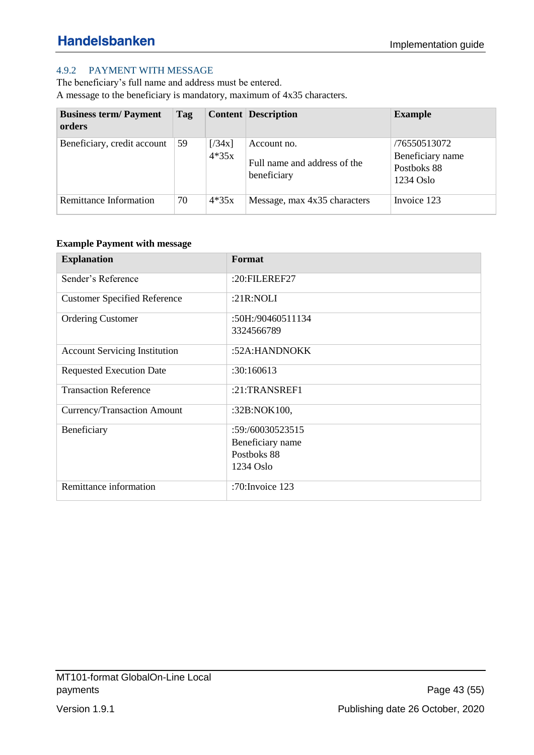### <span id="page-42-0"></span>4.9.2 PAYMENT WITH MESSAGE

The beneficiary's full name and address must be entered. A message to the beneficiary is mandatory, maximum of 4x35 characters.

| <b>Business term/Payment</b><br>orders | Tag |                   | <b>Content Description</b>                                 | <b>Example</b>                                                 |
|----------------------------------------|-----|-------------------|------------------------------------------------------------|----------------------------------------------------------------|
| Beneficiary, credit account            | 59  | [734x]<br>$4*35x$ | Account no.<br>Full name and address of the<br>beneficiary | /76550513072<br>Beneficiary name<br>Postboks 88<br>$1234$ Oslo |
| Remittance Information                 | 70  | $4*35x$           | Message, max 4x35 characters                               | Invoice 123                                                    |

#### **Example Payment with message**

| <b>Explanation</b>                   | Format             |
|--------------------------------------|--------------------|
| Sender's Reference                   | : $20:$ FILEREF27  |
| <b>Customer Specified Reference</b>  | : $21R:NOLI$       |
| <b>Ordering Customer</b>             | :50H:/90460511134  |
|                                      | 3324566789         |
| <b>Account Servicing Institution</b> | :52A:HANDNOKK      |
| <b>Requested Execution Date</b>      | :30:160613         |
| <b>Transaction Reference</b>         | :21:TRANSREF1      |
| Currency/Transaction Amount          | :32B:NOK100,       |
| Beneficiary                          | :59:/60030523515   |
|                                      | Beneficiary name   |
|                                      | Postboks 88        |
|                                      | 1234 Oslo          |
| Remittance information               | :70: Invoice $123$ |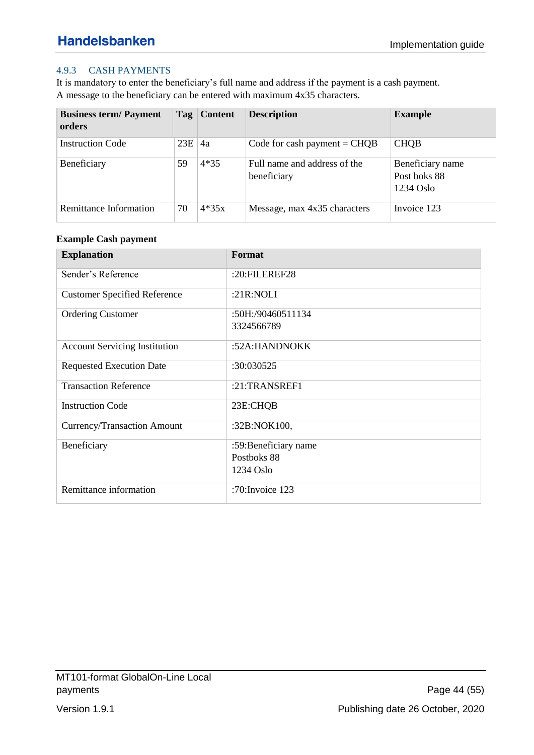### <span id="page-43-0"></span>4.9.3 CASH PAYMENTS

It is mandatory to enter the beneficiary's full name and address if the payment is a cash payment. A message to the beneficiary can be entered with maximum 4x35 characters.

| <b>Business term/Payment</b><br>orders |     | Tag   Content | <b>Description</b>                          | <b>Example</b>                                  |
|----------------------------------------|-----|---------------|---------------------------------------------|-------------------------------------------------|
| <b>Instruction Code</b>                | 23E | 4a            | Code for cash payment $=$ CHQB              | <b>CHQB</b>                                     |
| Beneficiary                            | 59  | $4*35$        | Full name and address of the<br>beneficiary | Beneficiary name<br>Post boks 88<br>$1234$ Oslo |
| Remittance Information                 | 70  | $4*35x$       | Message, max 4x35 characters                | Invoice 123                                     |

#### **Example Cash payment**

| <b>Explanation</b>                   | Format                |
|--------------------------------------|-----------------------|
| Sender's Reference                   | :20:FILEREF28         |
| <b>Customer Specified Reference</b>  | : $21R:NOLI$          |
| <b>Ordering Customer</b>             | :50H:/90460511134     |
|                                      | 3324566789            |
| <b>Account Servicing Institution</b> | :52A:HANDNOKK         |
| <b>Requested Execution Date</b>      | :30:030525            |
| <b>Transaction Reference</b>         | :21:TRANSREF1         |
| <b>Instruction Code</b>              | 23E:CHQB              |
| Currency/Transaction Amount          | :32B:NOK100,          |
| Beneficiary                          | :59: Beneficiary name |
|                                      | Postboks 88           |
|                                      | $1234$ Oslo           |
| Remittance information               | :70: Invoice $123$    |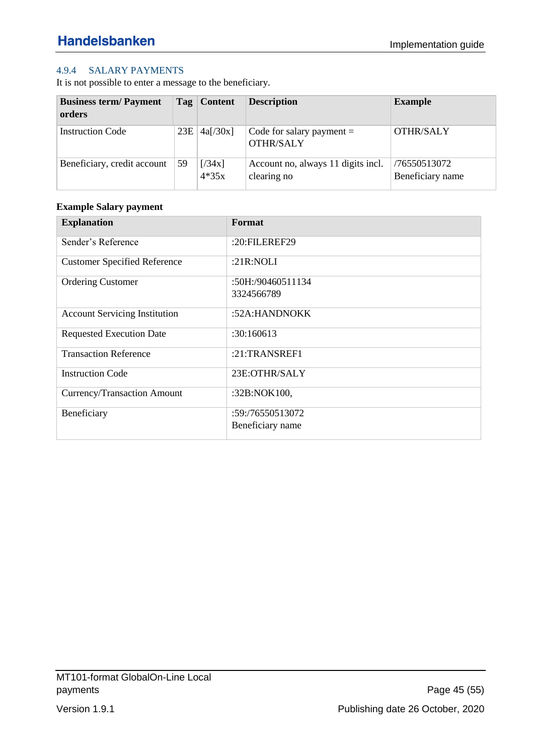### <span id="page-44-0"></span>4.9.4 SALARY PAYMENTS

It is not possible to enter a message to the beneficiary.

| <b>Business term/Payment</b><br>orders |     | Tag   Content     | <b>Description</b>                                | <b>Example</b>                   |
|----------------------------------------|-----|-------------------|---------------------------------------------------|----------------------------------|
| <b>Instruction Code</b>                | 23E | 4a[/30x]          | Code for salary payment $=$<br><b>OTHR/SALY</b>   | <b>OTHR/SALY</b>                 |
| Beneficiary, credit account            | 59  | [734x]<br>$4*35x$ | Account no, always 11 digits incl.<br>clearing no | /76550513072<br>Beneficiary name |

### **Example Salary payment**

| <b>Explanation</b>                   | Format            |
|--------------------------------------|-------------------|
| Sender's Reference                   | :20:FILEREF29     |
| <b>Customer Specified Reference</b>  | : $21R:NOLI$      |
| <b>Ordering Customer</b>             | :50H:/90460511134 |
|                                      | 3324566789        |
| <b>Account Servicing Institution</b> | :52A:HANDNOKK     |
| <b>Requested Execution Date</b>      | :30:160613        |
| <b>Transaction Reference</b>         | $:21$ :TRANSREF1  |
| <b>Instruction Code</b>              | 23E:OTHR/SALY     |
| Currency/Transaction Amount          | :32B:NOK100,      |
| Beneficiary                          | :59:/76550513072  |
|                                      | Beneficiary name  |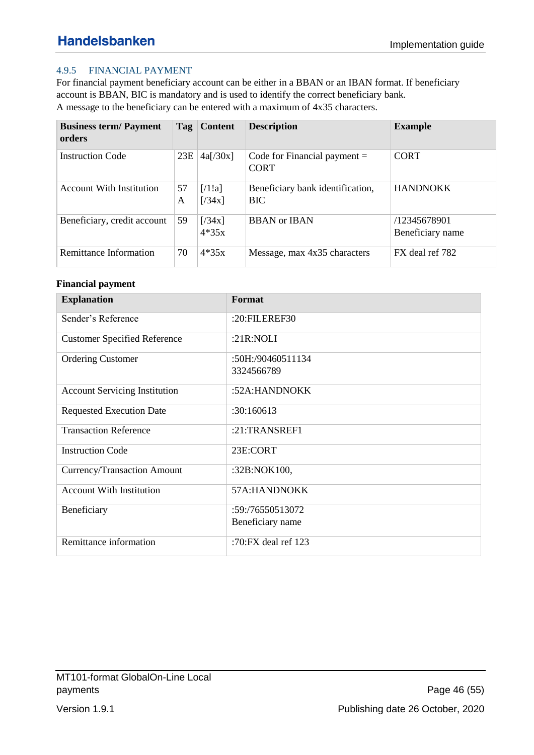### <span id="page-45-0"></span>4.9.5 FINANCIAL PAYMENT

For financial payment beneficiary account can be either in a BBAN or an IBAN format. If beneficiary account is BBAN, BIC is mandatory and is used to identify the correct beneficiary bank. A message to the beneficiary can be entered with a maximum of 4x35 characters.

| <b>Business term/Payment</b><br>orders | Tag     | <b>Content</b>    | <b>Description</b>                             | <b>Example</b>                   |
|----------------------------------------|---------|-------------------|------------------------------------------------|----------------------------------|
| <b>Instruction Code</b>                | 23E     | 4a[/30x]          | Code for Financial payment $=$<br><b>CORT</b>  | <b>CORT</b>                      |
| <b>Account With Institution</b>        | 57<br>A | [71!]<br>[734x]   | Beneficiary bank identification,<br><b>BIC</b> | <b>HANDNOKK</b>                  |
| Beneficiary, credit account            | 59      | [734x]<br>$4*35x$ | <b>BBAN</b> or <b>IBAN</b>                     | /12345678901<br>Beneficiary name |
| Remittance Information                 | 70      | $4*35x$           | Message, max 4x35 characters                   | FX deal ref 782                  |

#### **Financial payment**

| <b>Explanation</b>                   | Format                |
|--------------------------------------|-----------------------|
| Sender's Reference                   | :20:FILEREF30         |
| <b>Customer Specified Reference</b>  | : $21R:NOLI$          |
| <b>Ordering Customer</b>             | :50H:/90460511134     |
|                                      | 3324566789            |
| <b>Account Servicing Institution</b> | :52A:HANDNOKK         |
| <b>Requested Execution Date</b>      | :30:160613            |
| <b>Transaction Reference</b>         | :21:TRANSREF1         |
| <b>Instruction Code</b>              | 23E:CORT              |
| Currency/Transaction Amount          | :32B:NOK100,          |
| <b>Account With Institution</b>      | 57A:HANDNOKK          |
| Beneficiary                          | :59:/76550513072      |
|                                      | Beneficiary name      |
| Remittance information               | :70:FX deal ref $123$ |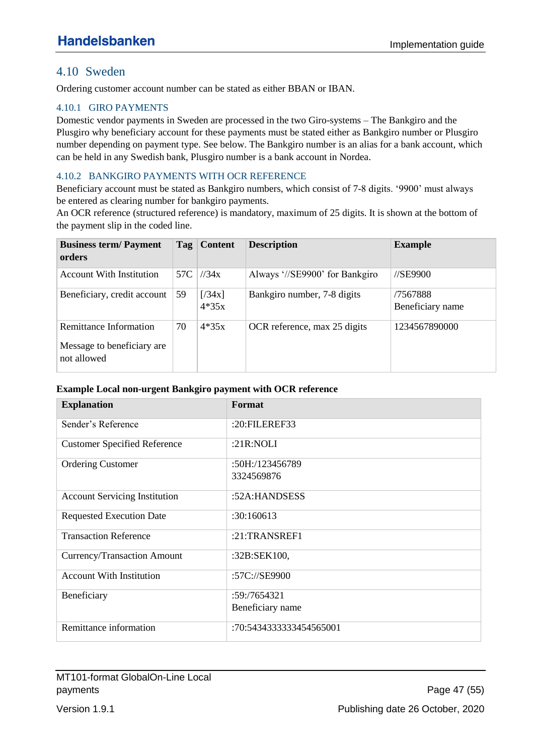### <span id="page-46-0"></span>4.10 Sweden

Ordering customer account number can be stated as either BBAN or IBAN.

#### <span id="page-46-1"></span>4.10.1 GIRO PAYMENTS

Domestic vendor payments in Sweden are processed in the two Giro-systems – The Bankgiro and the Plusgiro why beneficiary account for these payments must be stated either as Bankgiro number or Plusgiro number depending on payment type. See below. The Bankgiro number is an alias for a bank account, which can be held in any Swedish bank, Plusgiro number is a bank account in Nordea.

#### <span id="page-46-2"></span>4.10.2 BANKGIRO PAYMENTS WITH OCR REFERENCE

Beneficiary account must be stated as Bankgiro numbers, which consist of 7-8 digits. '9900' must always be entered as clearing number for bankgiro payments.

An OCR reference (structured reference) is mandatory, maximum of 25 digits. It is shown at the bottom of the payment slip in the coded line.

| <b>Business term/Payment</b><br>orders                              | Tag | <b>Content</b>    | <b>Description</b>             | <b>Example</b>               |
|---------------------------------------------------------------------|-----|-------------------|--------------------------------|------------------------------|
| <b>Account With Institution</b>                                     | 57C | 1/34x             | Always '//SE9900' for Bankgiro | //SE9900                     |
| Beneficiary, credit account                                         | 59  | [734x]<br>$4*35x$ | Bankgiro number, 7-8 digits    | /7567888<br>Beneficiary name |
| Remittance Information<br>Message to beneficiary are<br>not allowed | 70  | $4*35x$           | OCR reference, max 25 digits   | 1234567890000                |

#### **Example Local non-urgent Bankgiro payment with OCR reference**

| <b>Explanation</b>                   | Format                  |
|--------------------------------------|-------------------------|
| Sender's Reference                   | : $20:$ FILEREF33       |
| <b>Customer Specified Reference</b>  | : $21R:NOLI$            |
| <b>Ordering Customer</b>             | :50H:/123456789         |
|                                      | 3324569876              |
| <b>Account Servicing Institution</b> | :52A:HANDSESS           |
| <b>Requested Execution Date</b>      | :30:160613              |
| <b>Transaction Reference</b>         | $:21$ :TRANSREF1        |
| Currency/Transaction Amount          | :32B:SEK100,            |
| <b>Account With Institution</b>      | :57C://SE9900           |
| Beneficiary                          | :59:/7654321            |
|                                      | Beneficiary name        |
| Remittance information               | :70:5434333333454565001 |

MT101-format GlobalOn-Line Local payments **Page 47 (55)**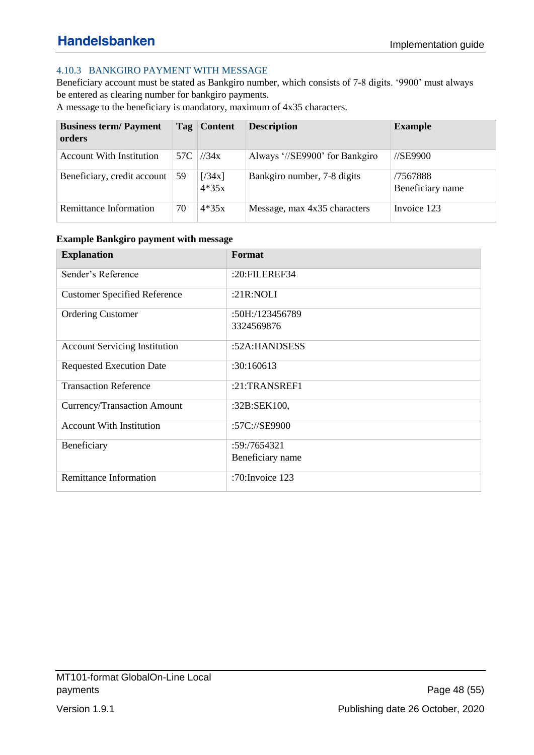### <span id="page-47-0"></span>4.10.3 BANKGIRO PAYMENT WITH MESSAGE

Beneficiary account must be stated as Bankgiro number, which consists of 7-8 digits. '9900' must always be entered as clearing number for bankgiro payments.

A message to the beneficiary is mandatory, maximum of 4x35 characters.

| <b>Business term/Payment</b><br>orders |     | Tag   Content     | <b>Description</b>             | <b>Example</b>                    |
|----------------------------------------|-----|-------------------|--------------------------------|-----------------------------------|
| <b>Account With Institution</b>        | 57C | 1/34x             | Always '//SE9900' for Bankgiro | $\frac{\text{I}}{\text{S}}$ E9900 |
| Beneficiary, credit account            | 59  | [734x]<br>$4*35x$ | Bankgiro number, 7-8 digits    | /7567888<br>Beneficiary name      |
| Remittance Information                 | 70  | $4*35x$           | Message, max 4x35 characters   | Invoice 123                       |

| <b>Example Bankgiro payment with message</b> |  |  |
|----------------------------------------------|--|--|

| <b>Explanation</b>                   | Format             |
|--------------------------------------|--------------------|
| Sender's Reference                   | :20:FILEREF34      |
| <b>Customer Specified Reference</b>  | : $21R:NOLI$       |
| <b>Ordering Customer</b>             | :50H:/123456789    |
|                                      | 3324569876         |
| <b>Account Servicing Institution</b> | :52A:HANDSESS      |
| <b>Requested Execution Date</b>      | :30:160613         |
| <b>Transaction Reference</b>         | $:21$ :TRANSREF1   |
| Currency/Transaction Amount          | :32B:SEK100,       |
| <b>Account With Institution</b>      | :57C://SE9900      |
| Beneficiary                          | :59:7654321        |
|                                      | Beneficiary name   |
| <b>Remittance Information</b>        | :70: Invoice $123$ |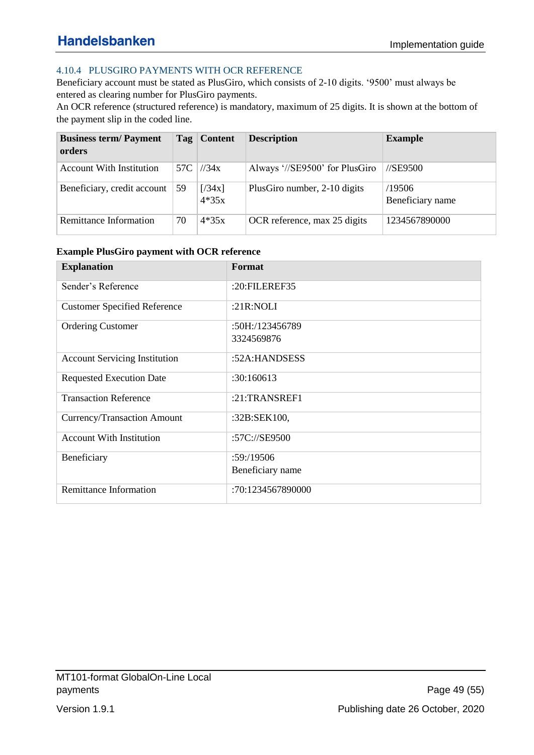### <span id="page-48-0"></span>4.10.4 PLUSGIRO PAYMENTS WITH OCR REFERENCE

Beneficiary account must be stated as PlusGiro, which consists of 2-10 digits. '9500' must always be entered as clearing number for PlusGiro payments.

An OCR reference (structured reference) is mandatory, maximum of 25 digits. It is shown at the bottom of the payment slip in the coded line.

| <b>Business term/Payment</b><br>orders |     | Tag   Content     | <b>Description</b>             | <b>Example</b>             |
|----------------------------------------|-----|-------------------|--------------------------------|----------------------------|
| <b>Account With Institution</b>        | 57C | 1/34x             | Always '//SE9500' for PlusGiro | $\frac{\text{NSE}}{9500}$  |
| Beneficiary, credit account            | 59  | [734x]<br>$4*35x$ | PlusGiro number, 2-10 digits   | /19506<br>Beneficiary name |
| Remittance Information                 | 70  | $4*35x$           | OCR reference, max 25 digits   | 1234567890000              |

#### **Example PlusGiro payment with OCR reference**

| <b>Explanation</b>                   | Format            |
|--------------------------------------|-------------------|
| Sender's Reference                   | :20:FILEREF35     |
| <b>Customer Specified Reference</b>  | : $21R:NOLI$      |
| <b>Ordering Customer</b>             | :50H:/123456789   |
|                                      | 3324569876        |
| <b>Account Servicing Institution</b> | :52A:HANDSESS     |
| <b>Requested Execution Date</b>      | :30:160613        |
| <b>Transaction Reference</b>         | $:21$ :TRANSREF1  |
| Currency/Transaction Amount          | :32B:SEK100,      |
| <b>Account With Institution</b>      | :57C://SE9500     |
| Beneficiary                          | :59: /19506       |
|                                      | Beneficiary name  |
| <b>Remittance Information</b>        | :70:1234567890000 |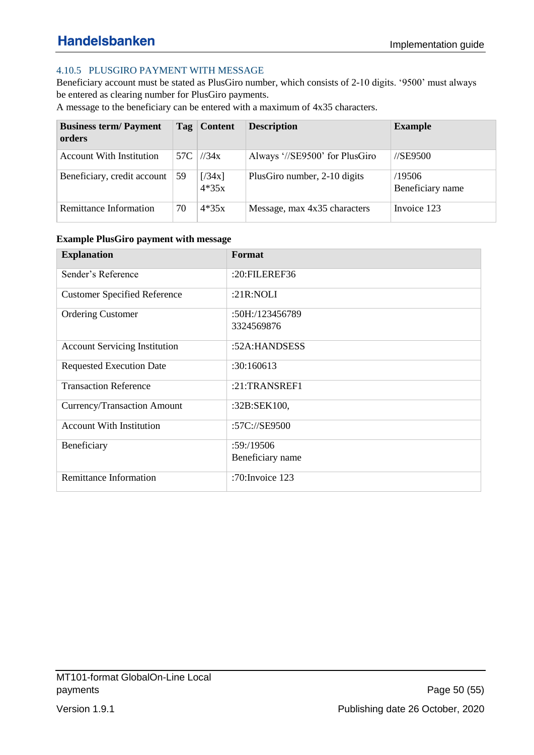### <span id="page-49-0"></span>4.10.5 PLUSGIRO PAYMENT WITH MESSAGE

Beneficiary account must be stated as PlusGiro number, which consists of 2-10 digits. '9500' must always be entered as clearing number for PlusGiro payments.

A message to the beneficiary can be entered with a maximum of 4x35 characters.

| <b>Business term/Payment</b><br>orders |     | Tag   Content     | <b>Description</b>             | <b>Example</b>                |
|----------------------------------------|-----|-------------------|--------------------------------|-------------------------------|
| <b>Account With Institution</b>        | 57C | 1/34x             | Always '//SE9500' for PlusGiro | $\frac{\text{7}}{5}$ //SE9500 |
| Beneficiary, credit account            | 59  | [734x]<br>$4*35x$ | PlusGiro number, 2-10 digits   | /19506<br>Beneficiary name    |
| Remittance Information                 | 70  | $4*35x$           | Message, max 4x35 characters   | Invoice 123                   |

| <b>Example PlusGiro payment with message</b> |  |  |
|----------------------------------------------|--|--|
|                                              |  |  |

| <b>Explanation</b>                   | Format             |
|--------------------------------------|--------------------|
| Sender's Reference                   | :20:FILEREF36      |
| <b>Customer Specified Reference</b>  | : $21R:NOLI$       |
| <b>Ordering Customer</b>             | :50H:/123456789    |
|                                      | 3324569876         |
| <b>Account Servicing Institution</b> | :52A:HANDSESS      |
| <b>Requested Execution Date</b>      | :30:160613         |
| <b>Transaction Reference</b>         | $:21$ :TRANSREF1   |
| Currency/Transaction Amount          | :32B:SEK100,       |
| <b>Account With Institution</b>      | :57C://SE9500      |
| Beneficiary                          | :59:19506          |
|                                      | Beneficiary name   |
| <b>Remittance Information</b>        | :70: Invoice $123$ |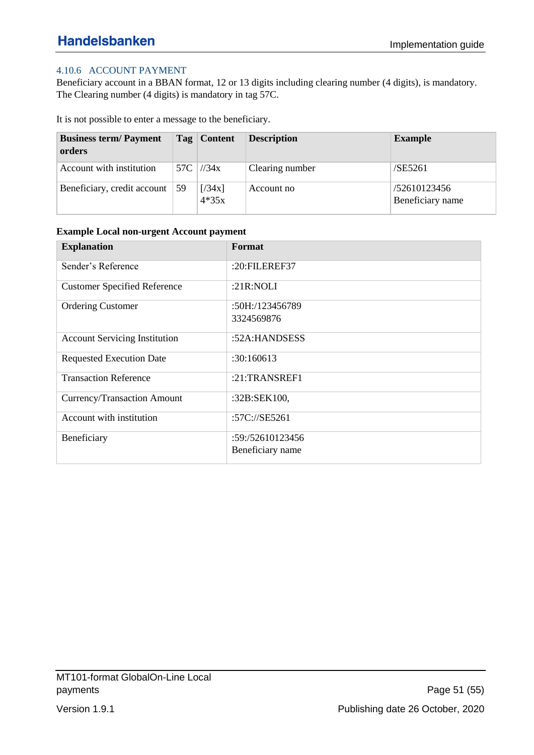### <span id="page-50-0"></span>4.10.6 ACCOUNT PAYMENT

Beneficiary account in a BBAN format, 12 or 13 digits including clearing number (4 digits), is mandatory. The Clearing number (4 digits) is mandatory in tag 57C.

It is not possible to enter a message to the beneficiary.

| <b>Business term/Payment</b><br>orders |            | Tag   Content     | <b>Description</b> | <b>Example</b>                   |
|----------------------------------------|------------|-------------------|--------------------|----------------------------------|
| Account with institution               |            | 57C $ $ //34x     | Clearing number    | /SE5261                          |
| Beneficiary, credit account            | $\vert$ 59 | [734x]<br>$4*35x$ | Account no         | /52610123456<br>Beneficiary name |

| <b>Explanation</b>                   | Format           |
|--------------------------------------|------------------|
| Sender's Reference                   | :20:FILEREF37    |
| <b>Customer Specified Reference</b>  | : $21R:NOLI$     |
| <b>Ordering Customer</b>             | :50H:/123456789  |
|                                      | 3324569876       |
| <b>Account Servicing Institution</b> | :52A:HANDSESS    |
| <b>Requested Execution Date</b>      | :30:160613       |
| <b>Transaction Reference</b>         | $:21$ :TRANSREF1 |
| Currency/Transaction Amount          | :32B:SEK100,     |
| Account with institution             | :57C://SE5261    |
| Beneficiary                          | :59:/52610123456 |
|                                      | Beneficiary name |

#### **Example Local non-urgent Account payment**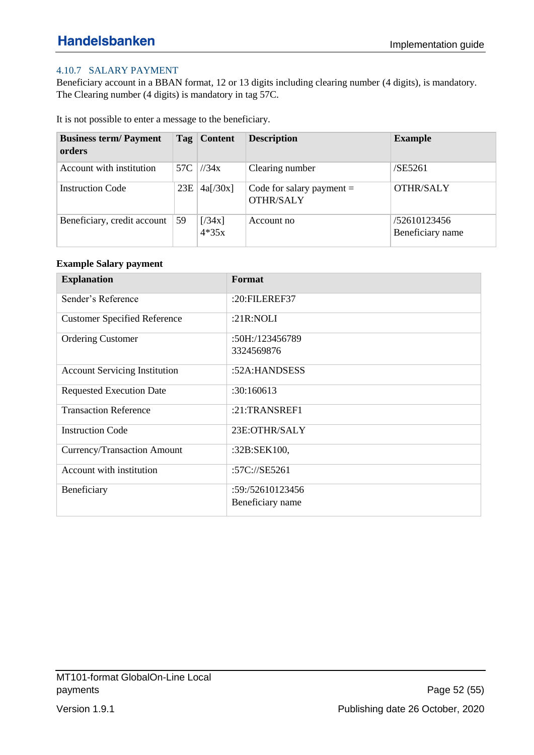### <span id="page-51-0"></span>4.10.7 SALARY PAYMENT

Beneficiary account in a BBAN format, 12 or 13 digits including clearing number (4 digits), is mandatory. The Clearing number (4 digits) is mandatory in tag 57C.

It is not possible to enter a message to the beneficiary.

| <b>Business term/Payment</b><br>orders |     | Tag   Content     | <b>Description</b>                              | <b>Example</b>                   |
|----------------------------------------|-----|-------------------|-------------------------------------------------|----------------------------------|
| Account with institution               | 57C | 1/34x             | Clearing number                                 | /SE5261                          |
| <b>Instruction Code</b>                | 23E | 4a[/30x]          | Code for salary payment $=$<br><b>OTHR/SALY</b> | OTHR/SALY                        |
| Beneficiary, credit account            | 59  | [734x]<br>$4*35x$ | Account no                                      | /52610123456<br>Beneficiary name |

#### **Example Salary payment**

| <b>Explanation</b>                   | Format                        |
|--------------------------------------|-------------------------------|
| Sender's Reference                   | :20:FILEREF37                 |
| <b>Customer Specified Reference</b>  | : $21R:NOLI$                  |
| <b>Ordering Customer</b>             | :50H:/123456789<br>3324569876 |
| <b>Account Servicing Institution</b> | :52A:HANDSESS                 |
| <b>Requested Execution Date</b>      | :30:160613                    |
| <b>Transaction Reference</b>         | :21:TRANSREF1                 |
| <b>Instruction Code</b>              | 23E:OTHR/SALY                 |
| Currency/Transaction Amount          | :32B:SEK100,                  |
| Account with institution             | :57C://SE5261                 |
| Beneficiary                          | :59:/52610123456              |
|                                      | Beneficiary name              |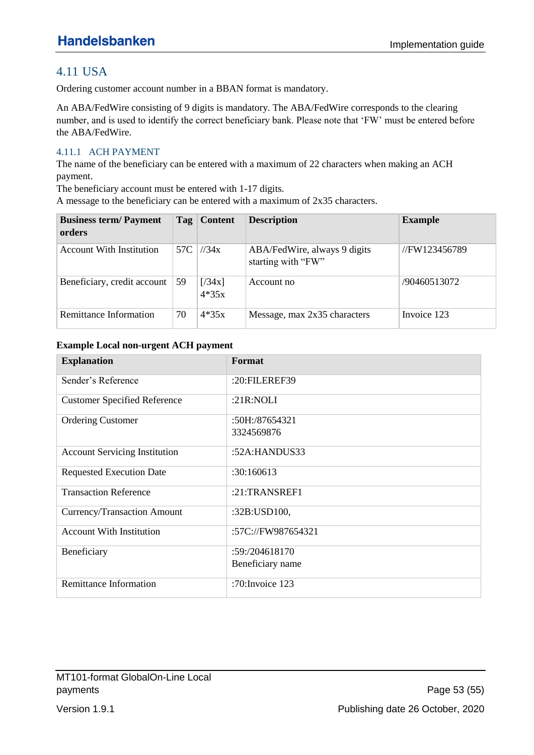# <span id="page-52-0"></span>4.11 USA

Ordering customer account number in a BBAN format is mandatory.

An ABA/FedWire consisting of 9 digits is mandatory. The ABA/FedWire corresponds to the clearing number, and is used to identify the correct beneficiary bank. Please note that 'FW' must be entered before the ABA/FedWire.

### <span id="page-52-1"></span>4.11.1 ACH PAYMENT

The name of the beneficiary can be entered with a maximum of 22 characters when making an ACH payment.

The beneficiary account must be entered with 1-17 digits.

A message to the beneficiary can be entered with a maximum of 2x35 characters.

| <b>Business term/Payment</b><br>orders |     | Tag   Content     | <b>Description</b>                                 | <b>Example</b> |
|----------------------------------------|-----|-------------------|----------------------------------------------------|----------------|
| <b>Account With Institution</b>        | 57C | 1/34x             | ABA/FedWire, always 9 digits<br>starting with "FW" | //FW123456789  |
| Beneficiary, credit account            | 59  | [734x]<br>$4*35x$ | Account no                                         | /90460513072   |
| Remittance Information                 | 70  | $4*35x$           | Message, max 2x35 characters                       | Invoice 123    |

#### **Example Local non-urgent ACH payment**

| <b>Explanation</b>                   | Format             |
|--------------------------------------|--------------------|
| Sender's Reference                   | :20:FILEREF39      |
| <b>Customer Specified Reference</b>  | : $21R:NOLI$       |
| <b>Ordering Customer</b>             | $:50H$ :/87654321  |
|                                      | 3324569876         |
| <b>Account Servicing Institution</b> | :52A: HANDUS33     |
| <b>Requested Execution Date</b>      | :30:160613         |
| <b>Transaction Reference</b>         | $:21$ :TRANSREF1   |
| Currency/Transaction Amount          | :32B:USD100,       |
| <b>Account With Institution</b>      | :57C://FW987654321 |
| Beneficiary                          | :59:/204618170     |
|                                      | Beneficiary name   |
| <b>Remittance Information</b>        | :70: Invoice 123   |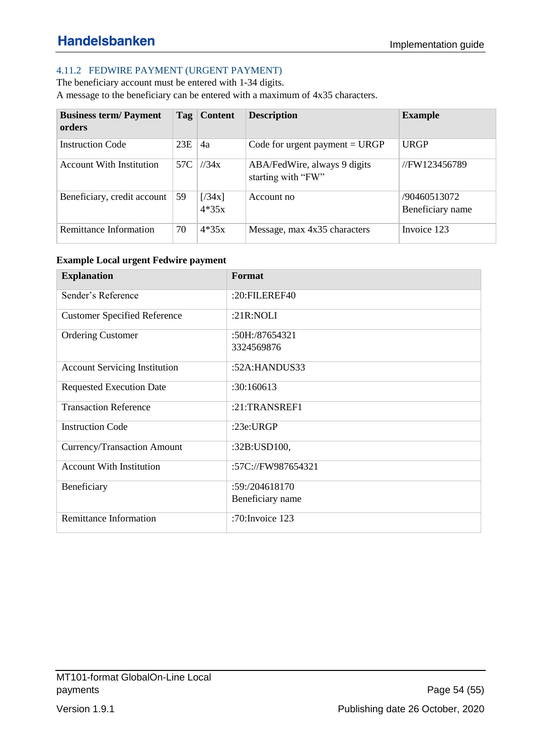### <span id="page-53-0"></span>4.11.2 FEDWIRE PAYMENT (URGENT PAYMENT)

The beneficiary account must be entered with 1-34 digits. A message to the beneficiary can be entered with a maximum of 4x35 characters.

| <b>Business term/Payment</b><br>orders | Tag | <b>Content</b>    | <b>Description</b>                                 | <b>Example</b>                   |
|----------------------------------------|-----|-------------------|----------------------------------------------------|----------------------------------|
| <b>Instruction Code</b>                | 23E | 4a                | Code for urgent payment $= \text{URGP}$            | <b>URGP</b>                      |
| <b>Account With Institution</b>        | 57C | 1/34x             | ABA/FedWire, always 9 digits<br>starting with "FW" | //FW123456789                    |
| Beneficiary, credit account            | 59  | [734x]<br>$4*35x$ | Account no                                         | /90460513072<br>Beneficiary name |
| Remittance Information                 | 70  | $4*35x$           | Message, max 4x35 characters                       | Invoice 123                      |

#### **Example Local urgent Fedwire payment**

| <b>Explanation</b>                   | Format             |
|--------------------------------------|--------------------|
| Sender's Reference                   | :20:FILEREF40      |
| <b>Customer Specified Reference</b>  | :21R:NOLI          |
| <b>Ordering Customer</b>             | :50H:/87654321     |
|                                      | 3324569876         |
| <b>Account Servicing Institution</b> | :52A:HANDUS33      |
| <b>Requested Execution Date</b>      | :30:160613         |
| <b>Transaction Reference</b>         | $:21$ :TRANSREF1   |
| <b>Instruction Code</b>              | :23e:URGP          |
| Currency/Transaction Amount          | :32B:USD100,       |
| <b>Account With Institution</b>      | :57C://FW987654321 |
| Beneficiary                          | :59: / 204618170   |
|                                      | Beneficiary name   |
| <b>Remittance Information</b>        | :70: Invoice $123$ |